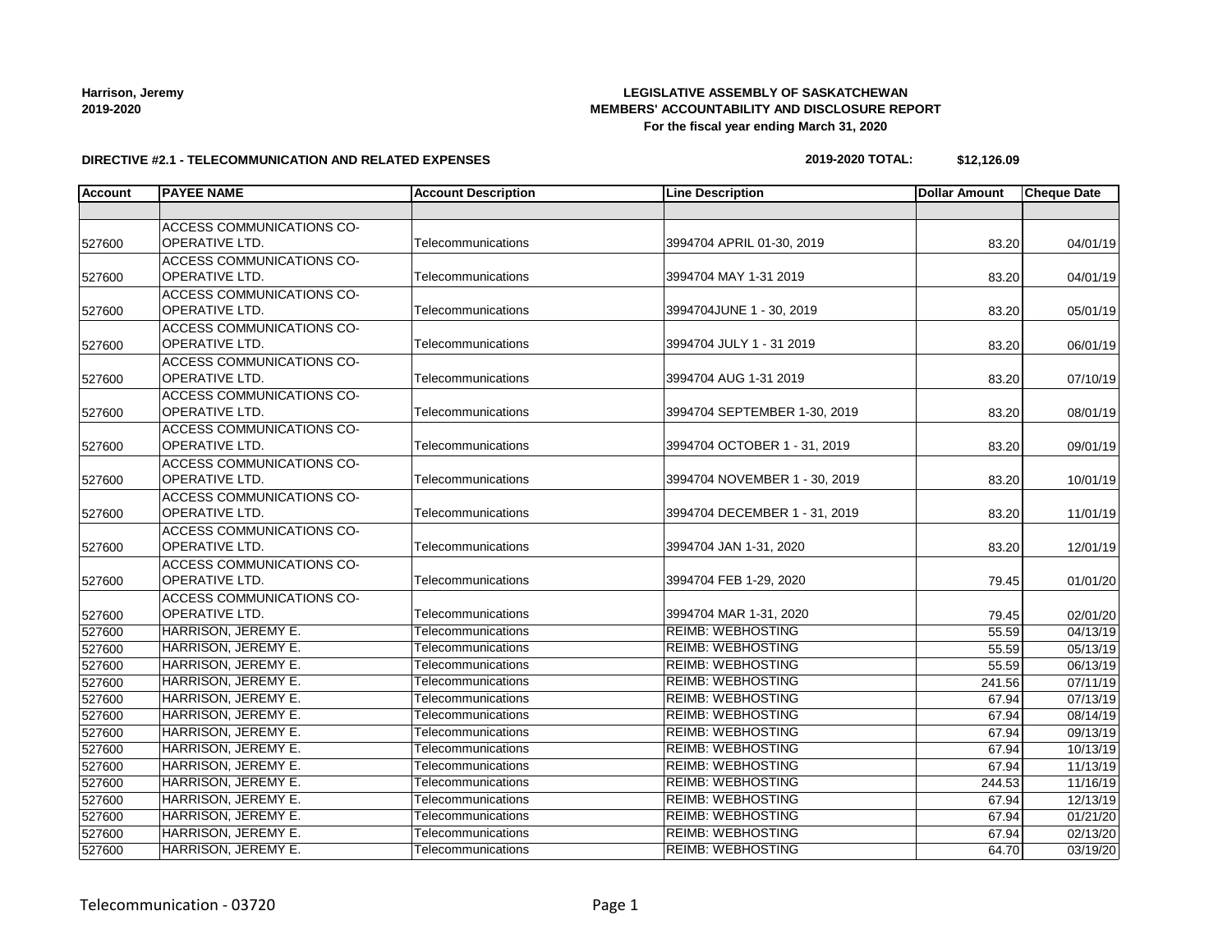## **LEGISLATIVE ASSEMBLY OF SASKATCHEWAN MEMBERS' ACCOUNTABILITY AND DISCLOSURE REPORT For the fiscal year ending March 31, 2020**

#### **DIRECTIVE #2.1 - TELECOMMUNICATION AND RELATED EXPENSES**

### **2019-2020 TOTAL: \$12,126.09**

| <b>Account</b> | <b>PAYEE NAME</b>                | <b>Account Description</b> | <b>Line Description</b>       | <b>Dollar Amount</b> | <b>Cheque Date</b> |
|----------------|----------------------------------|----------------------------|-------------------------------|----------------------|--------------------|
|                |                                  |                            |                               |                      |                    |
|                | ACCESS COMMUNICATIONS CO-        |                            |                               |                      |                    |
| 527600         | <b>OPERATIVE LTD.</b>            | Telecommunications         | 3994704 APRIL 01-30, 2019     | 83.20                | 04/01/19           |
|                | <b>ACCESS COMMUNICATIONS CO-</b> |                            |                               |                      |                    |
| 527600         | OPERATIVE LTD.                   | Telecommunications         | 3994704 MAY 1-31 2019         | 83.20                | 04/01/19           |
|                | <b>ACCESS COMMUNICATIONS CO-</b> |                            |                               |                      |                    |
| 527600         | OPERATIVE LTD.                   | Telecommunications         | 3994704JUNE 1 - 30, 2019      | 83.20                | 05/01/19           |
|                | <b>ACCESS COMMUNICATIONS CO-</b> |                            |                               |                      |                    |
| 527600         | OPERATIVE LTD.                   | Telecommunications         | 3994704 JULY 1 - 31 2019      | 83.20                | 06/01/19           |
|                | <b>ACCESS COMMUNICATIONS CO-</b> |                            |                               |                      |                    |
| 527600         | OPERATIVE LTD.                   | Telecommunications         | 3994704 AUG 1-31 2019         | 83.20                | 07/10/19           |
|                | ACCESS COMMUNICATIONS CO-        |                            |                               |                      |                    |
| 527600         | OPERATIVE LTD.                   | Telecommunications         | 3994704 SEPTEMBER 1-30, 2019  | 83.20                | 08/01/19           |
|                | ACCESS COMMUNICATIONS CO-        |                            |                               |                      |                    |
| 527600         | OPERATIVE LTD.                   | Telecommunications         | 3994704 OCTOBER 1 - 31, 2019  | 83.20                | 09/01/19           |
|                | ACCESS COMMUNICATIONS CO-        |                            |                               |                      |                    |
| 527600         | OPERATIVE LTD.                   | Telecommunications         | 3994704 NOVEMBER 1 - 30, 2019 | 83.20                | 10/01/19           |
|                | ACCESS COMMUNICATIONS CO-        |                            |                               |                      |                    |
| 527600         | OPERATIVE LTD.                   | Telecommunications         | 3994704 DECEMBER 1 - 31, 2019 | 83.20                | 11/01/19           |
|                | <b>ACCESS COMMUNICATIONS CO-</b> |                            |                               |                      |                    |
| 527600         | OPERATIVE LTD.                   | Telecommunications         | 3994704 JAN 1-31, 2020        | 83.20                | 12/01/19           |
|                | <b>ACCESS COMMUNICATIONS CO-</b> |                            |                               |                      |                    |
| 527600         | OPERATIVE LTD.                   | Telecommunications         | 3994704 FEB 1-29, 2020        | 79.45                | 01/01/20           |
|                | ACCESS COMMUNICATIONS CO-        |                            |                               |                      |                    |
| 527600         | OPERATIVE LTD.                   | Telecommunications         | 3994704 MAR 1-31, 2020        | 79.45                | 02/01/20           |
| 527600         | HARRISON, JEREMY E.              | Telecommunications         | <b>REIMB: WEBHOSTING</b>      | 55.59                | 04/13/19           |
| 527600         | HARRISON, JEREMY E.              | Telecommunications         | <b>REIMB: WEBHOSTING</b>      | 55.59                | 05/13/19           |
| 527600         | HARRISON, JEREMY E.              | Telecommunications         | <b>REIMB: WEBHOSTING</b>      | 55.59                | 06/13/19           |
| 527600         | HARRISON, JEREMY E.              | Telecommunications         | <b>REIMB: WEBHOSTING</b>      | 241.56               | 07/11/19           |
| 527600         | HARRISON, JEREMY E.              | Telecommunications         | <b>REIMB: WEBHOSTING</b>      | 67.94                | 07/13/19           |
| 527600         | HARRISON, JEREMY E.              | Telecommunications         | <b>REIMB: WEBHOSTING</b>      | 67.94                | 08/14/19           |
| 527600         | HARRISON, JEREMY E.              | Telecommunications         | <b>REIMB: WEBHOSTING</b>      | 67.94                | 09/13/19           |
| 527600         | HARRISON, JEREMY E.              | Telecommunications         | <b>REIMB: WEBHOSTING</b>      | 67.94                | 10/13/19           |
| 527600         | HARRISON, JEREMY E.              | Telecommunications         | <b>REIMB: WEBHOSTING</b>      | 67.94                | 11/13/19           |
| 527600         | HARRISON, JEREMY E.              | Telecommunications         | <b>REIMB: WEBHOSTING</b>      | 244.53               | 11/16/19           |
| 527600         | HARRISON, JEREMY E.              | Telecommunications         | <b>REIMB: WEBHOSTING</b>      | 67.94                | 12/13/19           |
| 527600         | HARRISON, JEREMY E.              | Telecommunications         | <b>REIMB: WEBHOSTING</b>      | 67.94                | 01/21/20           |
| 527600         | <b>HARRISON, JEREMY E.</b>       | Telecommunications         | <b>REIMB: WEBHOSTING</b>      | 67.94                | 02/13/20           |
| 527600         | HARRISON, JEREMY E.              | Telecommunications         | <b>REIMB: WEBHOSTING</b>      | 64.70                | 03/19/20           |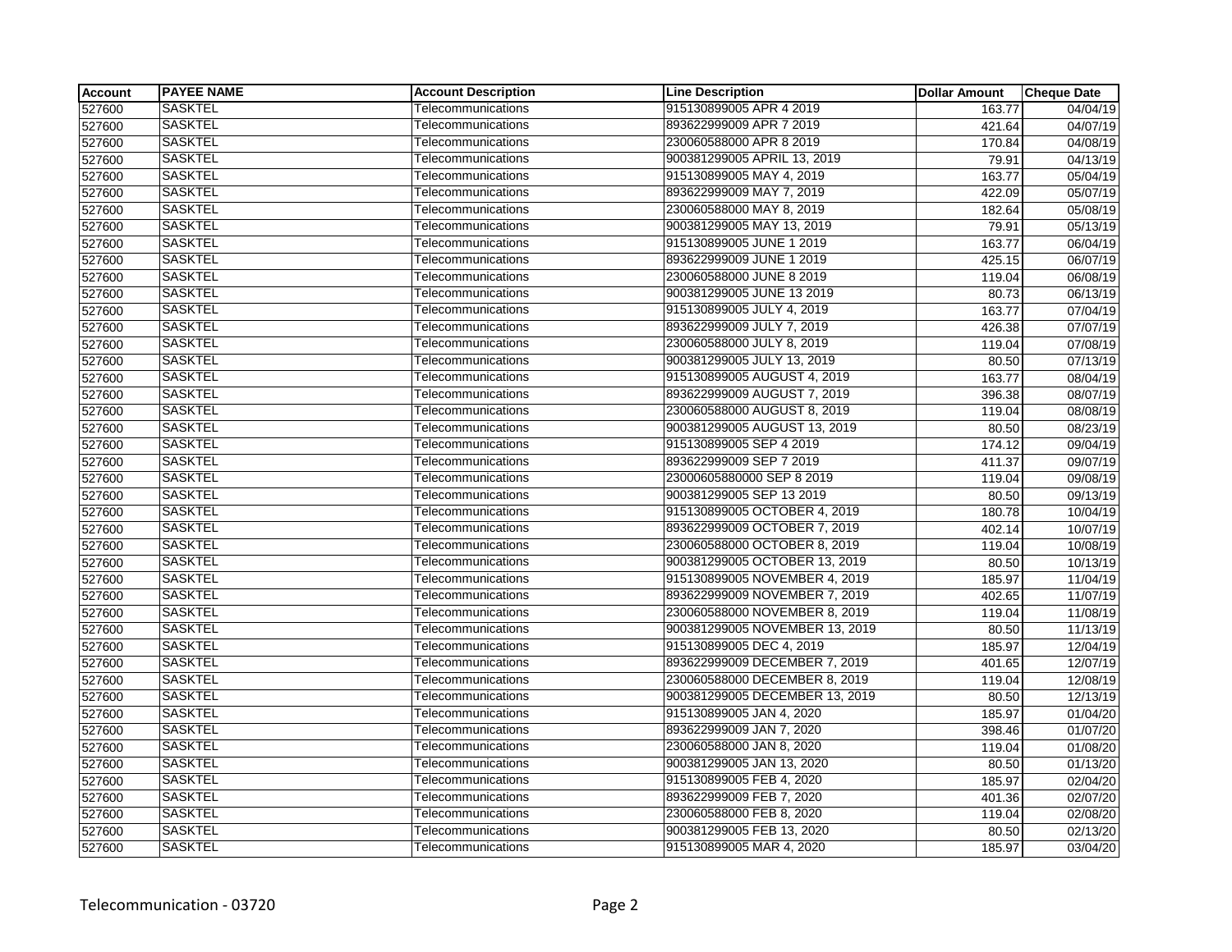| <b>Account</b> | <b>PAYEE NAME</b> | <b>Account Description</b> | <b>Line Description</b>        | <b>Dollar Amount</b> | <b>Cheque Date</b> |
|----------------|-------------------|----------------------------|--------------------------------|----------------------|--------------------|
| 527600         | <b>SASKTEL</b>    | Telecommunications         | 915130899005 APR 4 2019        | 163.77               | 04/04/19           |
| 527600         | <b>SASKTEL</b>    | Telecommunications         | 893622999009 APR 7 2019        | 421.64               | 04/07/19           |
| 527600         | <b>SASKTEL</b>    | Telecommunications         | 230060588000 APR 8 2019        | 170.84               | 04/08/19           |
| 527600         | <b>SASKTEL</b>    | Telecommunications         | 900381299005 APRIL 13, 2019    | 79.91                | 04/13/19           |
| 527600         | <b>SASKTEL</b>    | Telecommunications         | 915130899005 MAY 4, 2019       | 163.77               | 05/04/19           |
| 527600         | <b>SASKTEL</b>    | Telecommunications         | 893622999009 MAY 7, 2019       | 422.09               | 05/07/19           |
| 527600         | <b>SASKTEL</b>    | Telecommunications         | 230060588000 MAY 8, 2019       | 182.64               | 05/08/19           |
| 527600         | <b>SASKTEL</b>    | Telecommunications         | 900381299005 MAY 13, 2019      | 79.91                | 05/13/19           |
| 527600         | <b>SASKTEL</b>    | Telecommunications         | 915130899005 JUNE 1 2019       | 163.77               | 06/04/19           |
| 527600         | <b>SASKTEL</b>    | Telecommunications         | 893622999009 JUNE 1 2019       | 425.15               | 06/07/19           |
| 527600         | <b>SASKTEL</b>    | Telecommunications         | 230060588000 JUNE 8 2019       | 119.04               | 06/08/19           |
| 527600         | <b>SASKTEL</b>    | Telecommunications         | 900381299005 JUNE 13 2019      | 80.73                | 06/13/19           |
| 527600         | <b>SASKTEL</b>    | Telecommunications         | 915130899005 JULY 4, 2019      | 163.77               | 07/04/19           |
| 527600         | <b>SASKTEL</b>    | Telecommunications         | 893622999009 JULY 7, 2019      | 426.38               | 07/07/19           |
| 527600         | <b>SASKTEL</b>    | Telecommunications         | 230060588000 JULY 8, 2019      | 119.04               | 07/08/19           |
| 527600         | <b>SASKTEL</b>    | Telecommunications         | 900381299005 JULY 13, 2019     | 80.50                | 07/13/19           |
| 527600         | <b>SASKTEL</b>    | Telecommunications         | 915130899005 AUGUST 4, 2019    | 163.77               | 08/04/19           |
| 527600         | <b>SASKTEL</b>    | Telecommunications         | 893622999009 AUGUST 7, 2019    | 396.38               | 08/07/19           |
| 527600         | <b>SASKTEL</b>    | Telecommunications         | 230060588000 AUGUST 8, 2019    | 119.04               | 08/08/19           |
| 527600         | <b>SASKTEL</b>    | Telecommunications         | 900381299005 AUGUST 13, 2019   | 80.50                | 08/23/19           |
| 527600         | <b>SASKTEL</b>    | Telecommunications         | 915130899005 SEP 4 2019        | 174.12               | 09/04/19           |
| 527600         | <b>SASKTEL</b>    | Telecommunications         | 893622999009 SEP 7 2019        | 411.37               | 09/07/19           |
| 527600         | <b>SASKTEL</b>    | Telecommunications         | 23000605880000 SEP 8 2019      | 119.04               | 09/08/19           |
| 527600         | <b>SASKTEL</b>    | Telecommunications         | 900381299005 SEP 13 2019       | 80.50                | 09/13/19           |
| 527600         | <b>SASKTEL</b>    | Telecommunications         | 915130899005 OCTOBER 4, 2019   | 180.78               | 10/04/19           |
| 527600         | <b>SASKTEL</b>    | Telecommunications         | 893622999009 OCTOBER 7, 2019   | 402.14               | 10/07/19           |
| 527600         | <b>SASKTEL</b>    | Telecommunications         | 230060588000 OCTOBER 8, 2019   | 119.04               | 10/08/19           |
| 527600         | <b>SASKTEL</b>    | Telecommunications         | 900381299005 OCTOBER 13, 2019  | 80.50                | 10/13/19           |
| 527600         | <b>SASKTEL</b>    | Telecommunications         | 915130899005 NOVEMBER 4, 2019  | 185.97               | 11/04/19           |
| 527600         | <b>SASKTEL</b>    | Telecommunications         | 893622999009 NOVEMBER 7, 2019  | 402.65               | 11/07/19           |
| 527600         | <b>SASKTEL</b>    | Telecommunications         | 230060588000 NOVEMBER 8, 2019  | 119.04               | 11/08/19           |
| 527600         | <b>SASKTEL</b>    | Telecommunications         | 900381299005 NOVEMBER 13, 2019 | 80.50                | 11/13/19           |
| 527600         | <b>SASKTEL</b>    | Telecommunications         | 915130899005 DEC 4, 2019       | 185.97               | 12/04/19           |
| 527600         | <b>SASKTEL</b>    | Telecommunications         | 893622999009 DECEMBER 7, 2019  | 401.65               | 12/07/19           |
| 527600         | <b>SASKTEL</b>    | Telecommunications         | 230060588000 DECEMBER 8, 2019  | 119.04               | 12/08/19           |
| 527600         | <b>SASKTEL</b>    | Telecommunications         | 900381299005 DECEMBER 13, 2019 | 80.50                | 12/13/19           |
| 527600         | <b>SASKTEL</b>    | Telecommunications         | 915130899005 JAN 4, 2020       | 185.97               | 01/04/20           |
| 527600         | <b>SASKTEL</b>    | Telecommunications         | 893622999009 JAN 7, 2020       | 398.46               | 01/07/20           |
| 527600         | <b>SASKTEL</b>    | Telecommunications         | 230060588000 JAN 8, 2020       | 119.04               | 01/08/20           |
| 527600         | <b>SASKTEL</b>    | Telecommunications         | 900381299005 JAN 13, 2020      | 80.50                | 01/13/20           |
| 527600         | <b>SASKTEL</b>    | Telecommunications         | 915130899005 FEB 4, 2020       | 185.97               | 02/04/20           |
| 527600         | <b>SASKTEL</b>    | Telecommunications         | 893622999009 FEB 7, 2020       | 401.36               | 02/07/20           |
| 527600         | <b>SASKTEL</b>    | Telecommunications         | 230060588000 FEB 8, 2020       | 119.04               | 02/08/20           |
| 527600         | <b>SASKTEL</b>    | Telecommunications         | 900381299005 FEB 13, 2020      | 80.50                | 02/13/20           |
| 527600         | <b>SASKTEL</b>    | Telecommunications         | 915130899005 MAR 4, 2020       | 185.97               | 03/04/20           |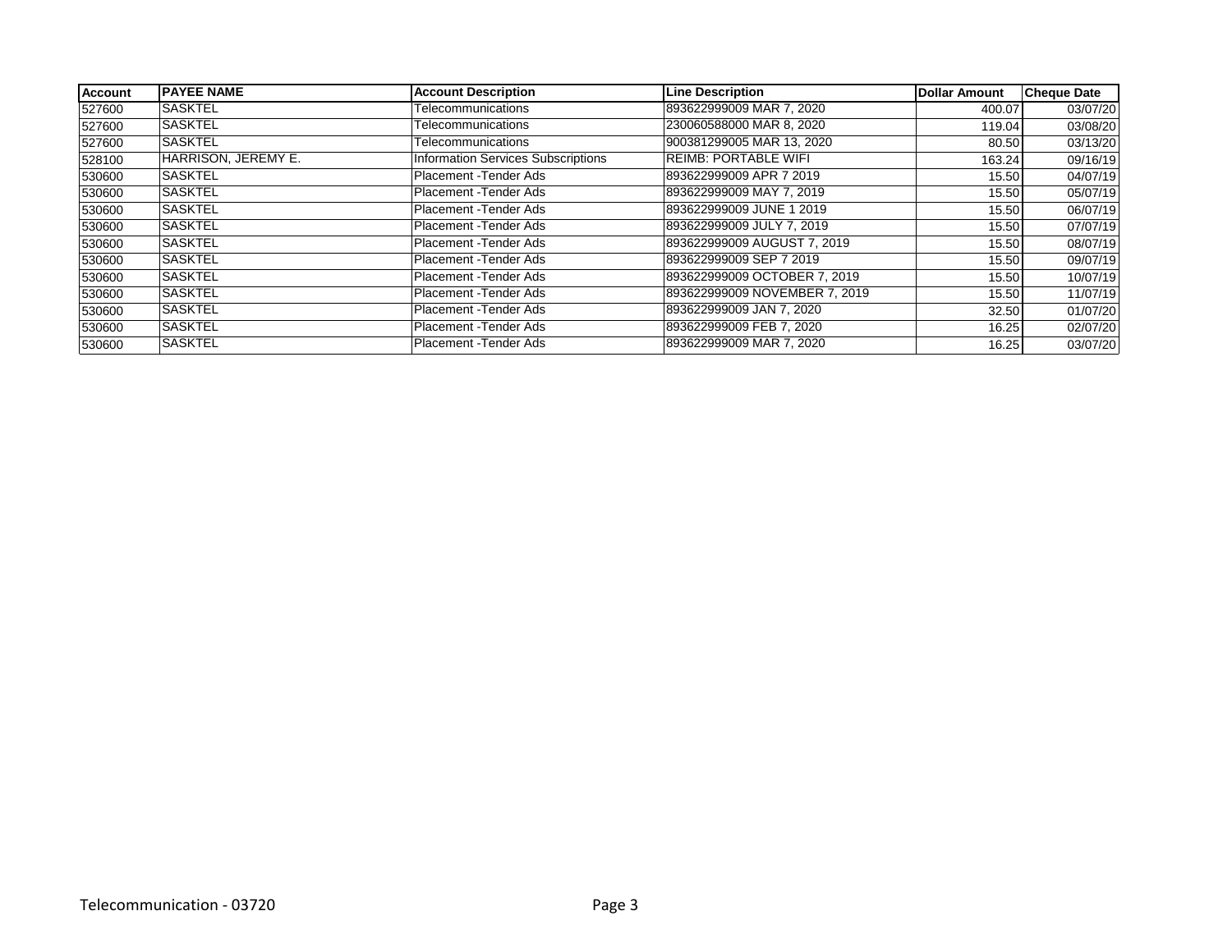| <b>Account</b> | <b>IPAYEE NAME</b>  | <b>Account Description</b>                | <b>Line Description</b>       | Dollar Amount | <b>Cheque Date</b> |
|----------------|---------------------|-------------------------------------------|-------------------------------|---------------|--------------------|
| 527600         | <b>SASKTEL</b>      | Telecommunications                        | 893622999009 MAR 7, 2020      | 400.07        | 03/07/20           |
| 527600         | <b>SASKTEL</b>      | Telecommunications                        | 230060588000 MAR 8, 2020      | 119.04        | 03/08/20           |
| 527600         | <b>SASKTEL</b>      | Telecommunications                        | 900381299005 MAR 13, 2020     | 80.50         | 03/13/20           |
| 528100         | HARRISON, JEREMY E. | <b>Information Services Subscriptions</b> | <b>REIMB: PORTABLE WIFI</b>   | 163.24        | 09/16/19           |
| 530600         | <b>SASKTEL</b>      | Placement - Tender Ads                    | 893622999009 APR 7 2019       | 15.50         | 04/07/19           |
| 530600         | <b>SASKTEL</b>      | Placement - Tender Ads                    | 893622999009 MAY 7, 2019      | 15.50         | 05/07/19           |
| 530600         | <b>SASKTEL</b>      | Placement - Tender Ads                    | 893622999009 JUNE 1 2019      | 15.50         | 06/07/19           |
| 530600         | <b>SASKTEL</b>      | Placement - Tender Ads                    | 893622999009 JULY 7, 2019     | 15.50         | 07/07/19           |
| 530600         | <b>SASKTEL</b>      | Placement - Tender Ads                    | 893622999009 AUGUST 7, 2019   | 15.50         | 08/07/19           |
| 530600         | <b>SASKTEL</b>      | Placement - Tender Ads                    | 893622999009 SEP 7 2019       | 15.50         | 09/07/19           |
| 530600         | <b>SASKTEL</b>      | Placement - Tender Ads                    | 893622999009 OCTOBER 7, 2019  | 15.50         | 10/07/19           |
| 530600         | <b>SASKTEL</b>      | Placement - Tender Ads                    | 893622999009 NOVEMBER 7, 2019 | 15.50         | 11/07/19           |
| 530600         | <b>SASKTEL</b>      | Placement - Tender Ads                    | 893622999009 JAN 7, 2020      | 32.50         | 01/07/20           |
| 530600         | <b>SASKTEL</b>      | Placement - Tender Ads                    | 893622999009 FEB 7, 2020      | 16.25         | 02/07/20           |
| 530600         | <b>SASKTEL</b>      | Placement - Tender Ads                    | 893622999009 MAR 7, 2020      | 16.25         | 03/07/20           |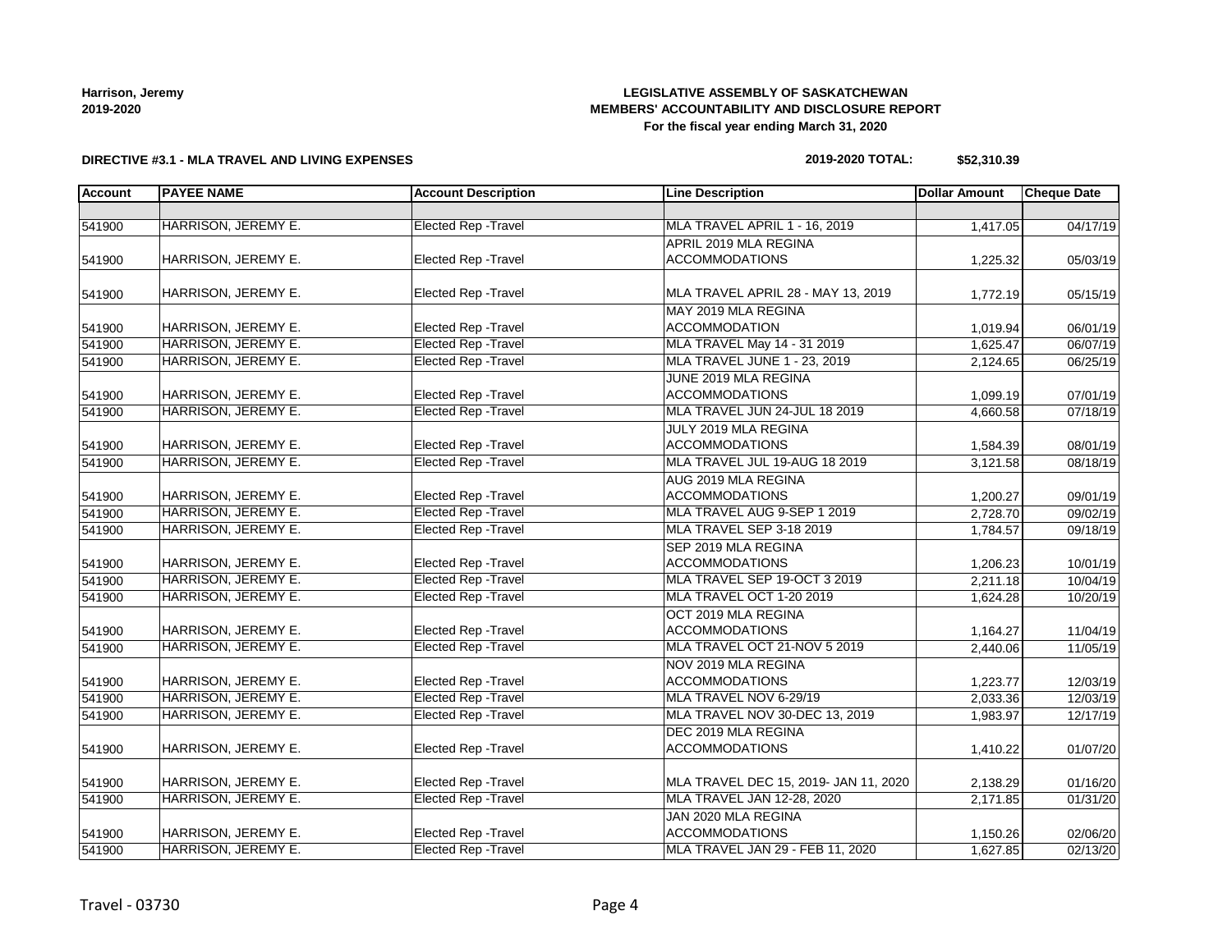## **LEGISLATIVE ASSEMBLY OF SASKATCHEWAN MEMBERS' ACCOUNTABILITY AND DISCLOSURE REPORT For the fiscal year ending March 31, 2020**

#### **DIRECTIVE #3.1 - MLA TRAVEL AND LIVING EXPENSES**

#### **2019-2020 TOTAL: \$52,310.39**

| <b>Account</b> | <b>PAYEE NAME</b><br><b>Account Description</b><br><b>Line Description</b> |                             | <b>Dollar Amount</b>                  | <b>Cheque Date</b> |          |
|----------------|----------------------------------------------------------------------------|-----------------------------|---------------------------------------|--------------------|----------|
|                |                                                                            |                             |                                       |                    |          |
| 541900         | HARRISON, JEREMY E.                                                        | <b>Elected Rep - Travel</b> | MLA TRAVEL APRIL 1 - 16, 2019         | 1,417.05           | 04/17/19 |
|                |                                                                            |                             | APRIL 2019 MLA REGINA                 |                    |          |
| 541900         | HARRISON, JEREMY E.                                                        | <b>Elected Rep - Travel</b> | <b>ACCOMMODATIONS</b>                 | 1,225.32           | 05/03/19 |
|                |                                                                            |                             |                                       |                    |          |
| 541900         | HARRISON, JEREMY E.                                                        | <b>Elected Rep - Travel</b> | MLA TRAVEL APRIL 28 - MAY 13, 2019    | 1,772.19           | 05/15/19 |
|                |                                                                            |                             | MAY 2019 MLA REGINA                   |                    |          |
| 541900         | HARRISON, JEREMY E.                                                        | Elected Rep - Travel        | <b>ACCOMMODATION</b>                  | 1,019.94           | 06/01/19 |
| 541900         | HARRISON, JEREMY E.                                                        | <b>Elected Rep - Travel</b> | <b>MLA TRAVEL May 14 - 31 2019</b>    | 1,625.47           | 06/07/19 |
| 541900         | HARRISON, JEREMY E.                                                        | <b>Elected Rep - Travel</b> | MLA TRAVEL JUNE 1 - 23, 2019          | 2,124.65           | 06/25/19 |
|                |                                                                            |                             | JUNE 2019 MLA REGINA                  |                    |          |
| 541900         | HARRISON, JEREMY E.                                                        | <b>Elected Rep - Travel</b> | <b>ACCOMMODATIONS</b>                 | 1,099.19           | 07/01/19 |
| 541900         | <b>HARRISON, JEREMY E.</b>                                                 | <b>Elected Rep - Travel</b> | MLA TRAVEL JUN 24-JUL 18 2019         | 4,660.58           | 07/18/19 |
|                |                                                                            |                             | JULY 2019 MLA REGINA                  |                    |          |
| 541900         | HARRISON, JEREMY E.                                                        | <b>Elected Rep - Travel</b> | <b>ACCOMMODATIONS</b>                 | 1,584.39           | 08/01/19 |
| 541900         | HARRISON, JEREMY E.                                                        | <b>Elected Rep - Travel</b> | MLA TRAVEL JUL 19-AUG 18 2019         | 3,121.58           | 08/18/19 |
|                |                                                                            |                             | AUG 2019 MLA REGINA                   |                    |          |
| 541900         | HARRISON, JEREMY E.                                                        | <b>Elected Rep - Travel</b> | <b>ACCOMMODATIONS</b>                 | 1,200.27           | 09/01/19 |
| 541900         | HARRISON, JEREMY E.                                                        | <b>Elected Rep - Travel</b> | MLA TRAVEL AUG 9-SEP 1 2019           | 2.728.70           | 09/02/19 |
| 541900         | HARRISON, JEREMY E.                                                        | <b>Elected Rep - Travel</b> | MLA TRAVEL SEP 3-18 2019              | 1,784.57           | 09/18/19 |
|                |                                                                            |                             | SEP 2019 MLA REGINA                   |                    |          |
| 541900         | HARRISON, JEREMY E.                                                        | Elected Rep - Travel        | <b>ACCOMMODATIONS</b>                 | 1,206.23           | 10/01/19 |
| 541900         | HARRISON, JEREMY E.                                                        | <b>Elected Rep - Travel</b> | MLA TRAVEL SEP 19-OCT 3 2019          | 2,211.18           | 10/04/19 |
| 541900         | HARRISON, JEREMY E.                                                        | <b>Elected Rep - Travel</b> | MLA TRAVEL OCT 1-20 2019              | 1,624.28           | 10/20/19 |
|                |                                                                            |                             | OCT 2019 MLA REGINA                   |                    |          |
| 541900         | HARRISON, JEREMY E.                                                        | <b>Elected Rep - Travel</b> | <b>ACCOMMODATIONS</b>                 | 1,164.27           | 11/04/19 |
| 541900         | HARRISON, JEREMY E.                                                        | <b>Elected Rep - Travel</b> | MLA TRAVEL OCT 21-NOV 5 2019          | 2,440.06           | 11/05/19 |
|                |                                                                            |                             | NOV 2019 MLA REGINA                   |                    |          |
| 541900         | HARRISON, JEREMY E.                                                        | <b>Elected Rep - Travel</b> | <b>ACCOMMODATIONS</b>                 | 1,223.77           | 12/03/19 |
| 541900         | HARRISON, JEREMY E.                                                        | <b>Elected Rep - Travel</b> | MLA TRAVEL NOV 6-29/19                | 2,033.36           | 12/03/19 |
| 541900         | <b>HARRISON, JEREMY E.</b>                                                 | <b>Elected Rep - Travel</b> | MLA TRAVEL NOV 30-DEC 13, 2019        | 1,983.97           | 12/17/19 |
|                |                                                                            |                             | DEC 2019 MLA REGINA                   |                    |          |
| 541900         | HARRISON, JEREMY E.                                                        | Elected Rep - Travel        | <b>ACCOMMODATIONS</b>                 | 1,410.22           | 01/07/20 |
|                |                                                                            |                             |                                       |                    |          |
| 541900         | HARRISON, JEREMY E.                                                        | <b>Elected Rep - Travel</b> | MLA TRAVEL DEC 15, 2019- JAN 11, 2020 | 2,138.29           | 01/16/20 |
| 541900         | HARRISON, JEREMY E.                                                        | <b>Elected Rep - Travel</b> | MLA TRAVEL JAN 12-28, 2020            | 2,171.85           | 01/31/20 |
|                |                                                                            |                             | JAN 2020 MLA REGINA                   |                    |          |
| 541900         | HARRISON, JEREMY E.                                                        | Elected Rep - Travel        | <b>ACCOMMODATIONS</b>                 |                    | 02/06/20 |
| 541900         | HARRISON, JEREMY E.                                                        | <b>Elected Rep - Travel</b> | MLA TRAVEL JAN 29 - FEB 11, 2020      | 1,150.26           |          |
|                |                                                                            |                             |                                       | 1,627.85           | 02/13/20 |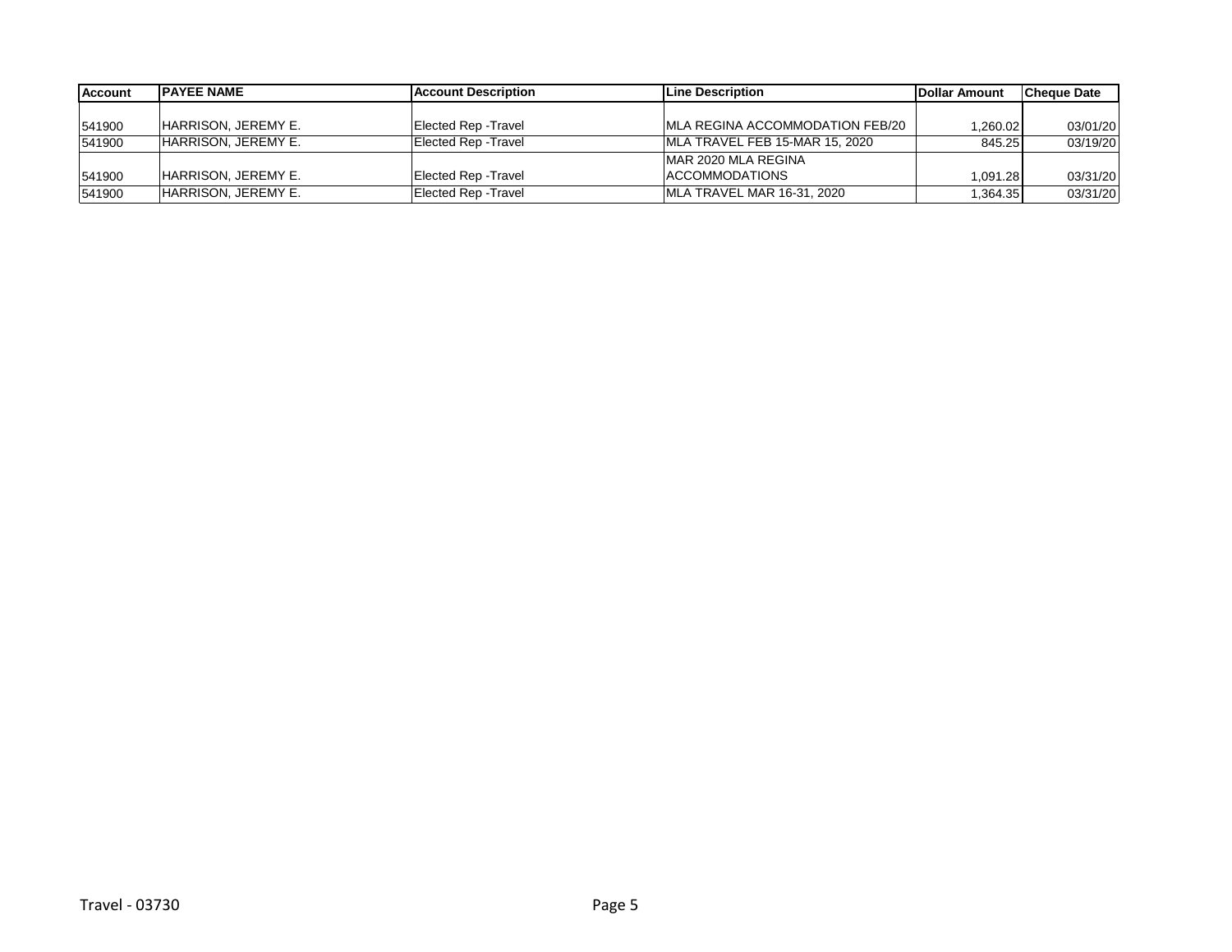| <b>Account</b> | <b>IPAYEE NAME</b>         | <b>Account Description</b>  | Line Description                 | <b>IDollar Amount</b> | lCheque Date |
|----------------|----------------------------|-----------------------------|----------------------------------|-----------------------|--------------|
|                |                            |                             |                                  |                       |              |
| 541900         | HARRISON, JEREMY E.        | <b>Elected Rep - Travel</b> | IMLA REGINA ACCOMMODATION FEB/20 | ا 260.02. ا           | 03/01/20     |
| 541900         | <b>HARRISON, JEREMY E.</b> | Elected Rep - Travel        | MLA TRAVEL FEB 15-MAR 15, 2020   | 845.25                | 03/19/20     |
|                |                            |                             | IMAR 2020 MLA REGINA             |                       |              |
| 541900         | HARRISON, JEREMY E.        | <b>Elected Rep - Travel</b> | <b>ACCOMMODATIONS</b>            | 1.091.28              | 03/31/20     |
| 541900         | HARRISON, JEREMY E.        | Elected Rep - Travel        | MLA TRAVEL MAR 16-31, 2020       | .364.35               | 03/31/20     |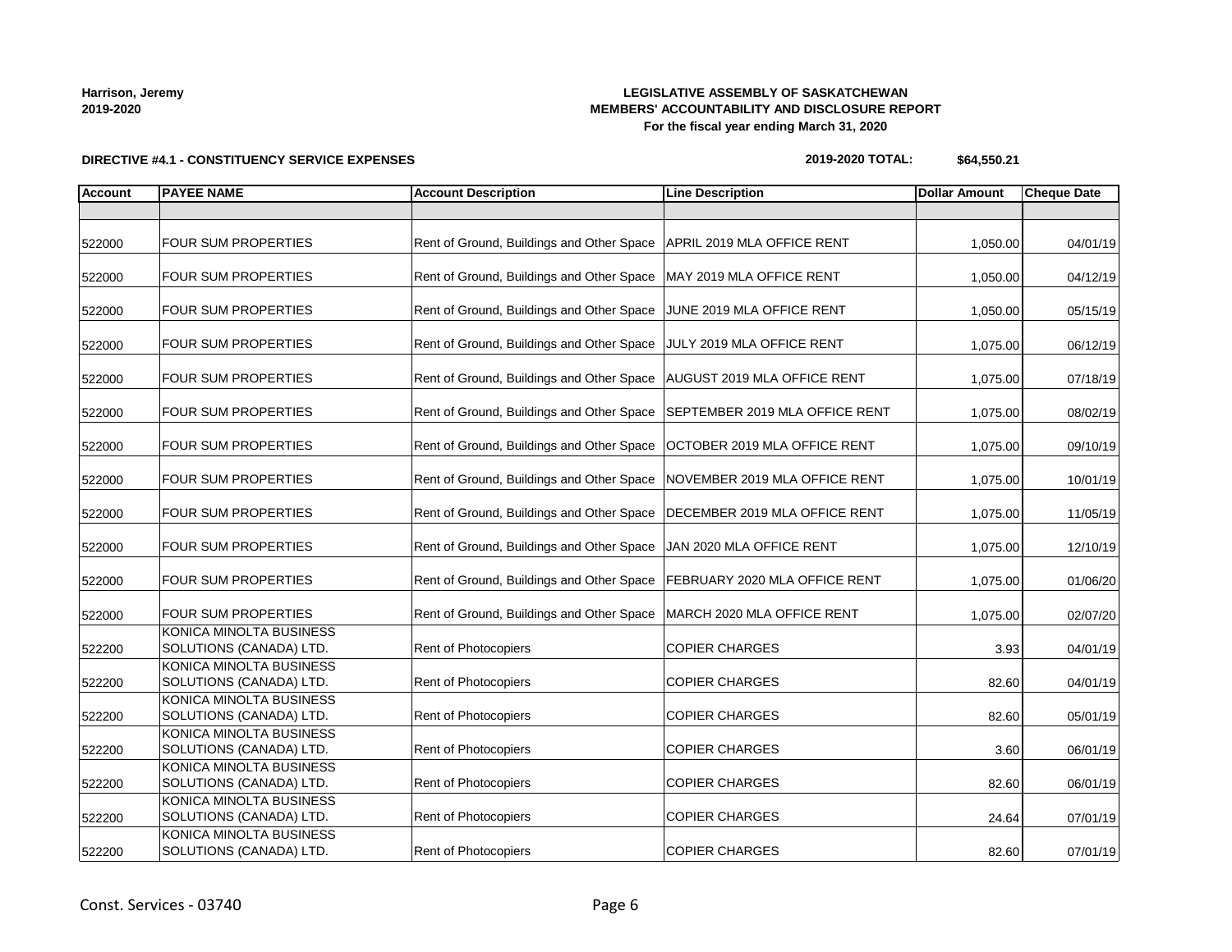### **LEGISLATIVE ASSEMBLY OF SASKATCHEWAN MEMBERS' ACCOUNTABILITY AND DISCLOSURE REPORT For the fiscal year ending March 31, 2020**

**DIRECTIVE #4.1 - CONSTITUENCY SERVICE EXPENSES**

### **2019-2020 TOTAL: \$64,550.21**

| <b>Account</b> | <b>PAYEE NAME</b>                                  | <b>Account Description</b>                                                 | <b>Line Description</b> | <b>Dollar Amount</b> | <b>Cheque Date</b> |
|----------------|----------------------------------------------------|----------------------------------------------------------------------------|-------------------------|----------------------|--------------------|
|                |                                                    |                                                                            |                         |                      |                    |
| 522000         | <b>FOUR SUM PROPERTIES</b>                         | Rent of Ground, Buildings and Other Space   APRIL 2019 MLA OFFICE RENT     |                         | 1,050.00             | 04/01/19           |
| 522000         | <b>FOUR SUM PROPERTIES</b>                         | Rent of Ground, Buildings and Other Space   MAY 2019 MLA OFFICE RENT       |                         | 1,050.00             | 04/12/19           |
| 522000         | <b>FOUR SUM PROPERTIES</b>                         | Rent of Ground, Buildings and Other Space JUNE 2019 MLA OFFICE RENT        |                         | 1,050.00             | 05/15/19           |
| 522000         | <b>FOUR SUM PROPERTIES</b>                         | Rent of Ground, Buildings and Other Space JULY 2019 MLA OFFICE RENT        |                         | 1,075.00             | 06/12/19           |
| 522000         | <b>FOUR SUM PROPERTIES</b>                         | Rent of Ground, Buildings and Other Space   AUGUST 2019 MLA OFFICE RENT    |                         | 1,075.00             | 07/18/19           |
| 522000         | <b>FOUR SUM PROPERTIES</b>                         | Rent of Ground, Buildings and Other Space   SEPTEMBER 2019 MLA OFFICE RENT |                         | 1,075.00             | 08/02/19           |
| 522000         | <b>FOUR SUM PROPERTIES</b>                         | Rent of Ground, Buildings and Other Space   OCTOBER 2019 MLA OFFICE RENT   |                         | 1,075.00             | 09/10/19           |
| 522000         | <b>FOUR SUM PROPERTIES</b>                         | Rent of Ground, Buildings and Other Space   NOVEMBER 2019 MLA OFFICE RENT  |                         | 1,075.00             | 10/01/19           |
| 522000         | <b>FOUR SUM PROPERTIES</b>                         | Rent of Ground, Buildings and Other Space   DECEMBER 2019 MLA OFFICE RENT  |                         | 1,075.00             | 11/05/19           |
| 522000         | <b>FOUR SUM PROPERTIES</b>                         | Rent of Ground, Buildings and Other Space   JAN 2020 MLA OFFICE RENT       |                         | 1,075.00             | 12/10/19           |
| 522000         | <b>FOUR SUM PROPERTIES</b>                         | Rent of Ground, Buildings and Other Space   FEBRUARY 2020 MLA OFFICE RENT  |                         | 1,075.00             | 01/06/20           |
| 522000         | <b>FOUR SUM PROPERTIES</b>                         | Rent of Ground, Buildings and Other Space   MARCH 2020 MLA OFFICE RENT     |                         | 1,075.00             | 02/07/20           |
| 522200         | KONICA MINOLTA BUSINESS<br>SOLUTIONS (CANADA) LTD. | Rent of Photocopiers                                                       | <b>COPIER CHARGES</b>   | 3.93                 | 04/01/19           |
| 522200         | KONICA MINOLTA BUSINESS<br>SOLUTIONS (CANADA) LTD. | Rent of Photocopiers                                                       | <b>COPIER CHARGES</b>   | 82.60                | 04/01/19           |
| 522200         | KONICA MINOLTA BUSINESS<br>SOLUTIONS (CANADA) LTD. | Rent of Photocopiers                                                       | <b>COPIER CHARGES</b>   | 82.60                | 05/01/19           |
| 522200         | KONICA MINOLTA BUSINESS<br>SOLUTIONS (CANADA) LTD. | Rent of Photocopiers                                                       | <b>COPIER CHARGES</b>   | 3.60                 | 06/01/19           |
| 522200         | KONICA MINOLTA BUSINESS<br>SOLUTIONS (CANADA) LTD. | Rent of Photocopiers                                                       | <b>COPIER CHARGES</b>   | 82.60                | 06/01/19           |
| 522200         | KONICA MINOLTA BUSINESS<br>SOLUTIONS (CANADA) LTD. | Rent of Photocopiers                                                       | COPIER CHARGES          | 24.64                | 07/01/19           |
| 522200         | KONICA MINOLTA BUSINESS<br>SOLUTIONS (CANADA) LTD. | Rent of Photocopiers                                                       | <b>COPIER CHARGES</b>   | 82.60                | 07/01/19           |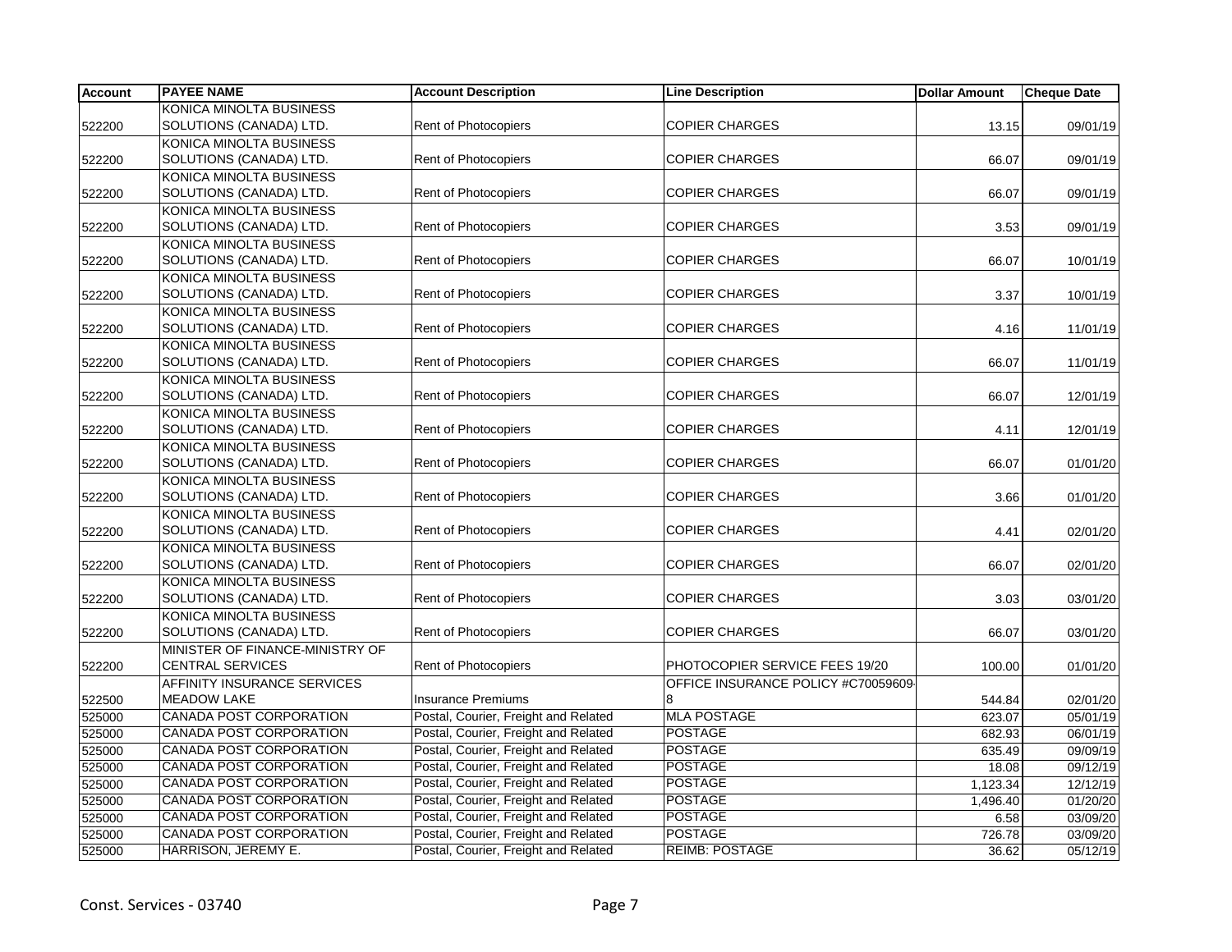| <b>Account</b> | <b>PAYEE NAME</b>               | <b>Account Description</b>           | <b>Line Description</b>             | <b>Dollar Amount</b> | <b>Cheque Date</b> |
|----------------|---------------------------------|--------------------------------------|-------------------------------------|----------------------|--------------------|
|                | KONICA MINOLTA BUSINESS         |                                      |                                     |                      |                    |
| 522200         | SOLUTIONS (CANADA) LTD.         | Rent of Photocopiers                 | <b>COPIER CHARGES</b>               | 13.15                | 09/01/19           |
|                | KONICA MINOLTA BUSINESS         |                                      |                                     |                      |                    |
| 522200         | SOLUTIONS (CANADA) LTD.         | Rent of Photocopiers                 | <b>COPIER CHARGES</b>               | 66.07                | 09/01/19           |
|                | KONICA MINOLTA BUSINESS         |                                      |                                     |                      |                    |
| 522200         | SOLUTIONS (CANADA) LTD.         | Rent of Photocopiers                 | <b>COPIER CHARGES</b>               | 66.07                | 09/01/19           |
|                | KONICA MINOLTA BUSINESS         |                                      |                                     |                      |                    |
| 522200         | SOLUTIONS (CANADA) LTD.         | Rent of Photocopiers                 | <b>COPIER CHARGES</b>               | 3.53                 | 09/01/19           |
|                | KONICA MINOLTA BUSINESS         |                                      |                                     |                      |                    |
| 522200         | SOLUTIONS (CANADA) LTD.         | <b>Rent of Photocopiers</b>          | <b>COPIER CHARGES</b>               | 66.07                | 10/01/19           |
|                | KONICA MINOLTA BUSINESS         |                                      |                                     |                      |                    |
| 522200         | SOLUTIONS (CANADA) LTD.         | <b>Rent of Photocopiers</b>          | <b>COPIER CHARGES</b>               | 3.37                 | 10/01/19           |
|                | KONICA MINOLTA BUSINESS         |                                      |                                     |                      |                    |
| 522200         | SOLUTIONS (CANADA) LTD.         | <b>Rent of Photocopiers</b>          | <b>COPIER CHARGES</b>               | 4.16                 | 11/01/19           |
|                | KONICA MINOLTA BUSINESS         |                                      |                                     |                      |                    |
| 522200         | SOLUTIONS (CANADA) LTD.         | <b>Rent of Photocopiers</b>          | <b>COPIER CHARGES</b>               | 66.07                | 11/01/19           |
|                | KONICA MINOLTA BUSINESS         |                                      |                                     |                      |                    |
| 522200         | SOLUTIONS (CANADA) LTD.         | Rent of Photocopiers                 | <b>COPIER CHARGES</b>               | 66.07                | 12/01/19           |
|                | KONICA MINOLTA BUSINESS         |                                      |                                     |                      |                    |
| 522200         | SOLUTIONS (CANADA) LTD.         | Rent of Photocopiers                 | <b>COPIER CHARGES</b>               | 4.11                 | 12/01/19           |
|                | KONICA MINOLTA BUSINESS         |                                      |                                     |                      |                    |
| 522200         | SOLUTIONS (CANADA) LTD.         | Rent of Photocopiers                 | <b>COPIER CHARGES</b>               | 66.07                | 01/01/20           |
|                | KONICA MINOLTA BUSINESS         |                                      |                                     |                      |                    |
| 522200         | SOLUTIONS (CANADA) LTD.         | <b>Rent of Photocopiers</b>          | <b>COPIER CHARGES</b>               | 3.66                 | 01/01/20           |
|                | KONICA MINOLTA BUSINESS         |                                      |                                     |                      |                    |
| 522200         | SOLUTIONS (CANADA) LTD.         | Rent of Photocopiers                 | <b>COPIER CHARGES</b>               | 4.41                 | 02/01/20           |
|                | KONICA MINOLTA BUSINESS         |                                      |                                     |                      |                    |
| 522200         | SOLUTIONS (CANADA) LTD.         | Rent of Photocopiers                 | <b>COPIER CHARGES</b>               | 66.07                | 02/01/20           |
|                | KONICA MINOLTA BUSINESS         |                                      |                                     |                      |                    |
| 522200         | SOLUTIONS (CANADA) LTD.         | Rent of Photocopiers                 | <b>COPIER CHARGES</b>               | 3.03                 | 03/01/20           |
|                | KONICA MINOLTA BUSINESS         |                                      |                                     |                      |                    |
| 522200         | SOLUTIONS (CANADA) LTD.         | Rent of Photocopiers                 | <b>COPIER CHARGES</b>               | 66.07                | 03/01/20           |
|                | MINISTER OF FINANCE-MINISTRY OF |                                      |                                     |                      |                    |
| 522200         | <b>CENTRAL SERVICES</b>         | <b>Rent of Photocopiers</b>          | PHOTOCOPIER SERVICE FEES 19/20      | 100.00               | 01/01/20           |
|                | AFFINITY INSURANCE SERVICES     |                                      | OFFICE INSURANCE POLICY #C70059609- |                      |                    |
| 522500         | <b>MEADOW LAKE</b>              | <b>Insurance Premiums</b>            | 8                                   | 544.84               | 02/01/20           |
| 525000         | <b>CANADA POST CORPORATION</b>  | Postal, Courier, Freight and Related | <b>MLA POSTAGE</b>                  | 623.07               | 05/01/19           |
| 525000         | <b>CANADA POST CORPORATION</b>  | Postal, Courier, Freight and Related | <b>POSTAGE</b>                      | 682.93               | 06/01/19           |
| 525000         | CANADA POST CORPORATION         | Postal, Courier, Freight and Related | <b>POSTAGE</b>                      | 635.49               | 09/09/19           |
| 525000         | CANADA POST CORPORATION         | Postal, Courier, Freight and Related | <b>POSTAGE</b>                      | 18.08                | 09/12/19           |
| 525000         | <b>CANADA POST CORPORATION</b>  | Postal, Courier, Freight and Related | <b>POSTAGE</b>                      | 1,123.34             | 12/12/19           |
| 525000         | <b>CANADA POST CORPORATION</b>  | Postal, Courier, Freight and Related | <b>POSTAGE</b>                      | 1,496.40             | 01/20/20           |
| 525000         | <b>CANADA POST CORPORATION</b>  | Postal, Courier, Freight and Related | <b>POSTAGE</b>                      | 6.58                 | 03/09/20           |
| 525000         | CANADA POST CORPORATION         | Postal, Courier, Freight and Related | <b>POSTAGE</b>                      | 726.78               | 03/09/20           |
| 525000         | HARRISON, JEREMY E.             | Postal, Courier, Freight and Related | <b>REIMB: POSTAGE</b>               | 36.62                | 05/12/19           |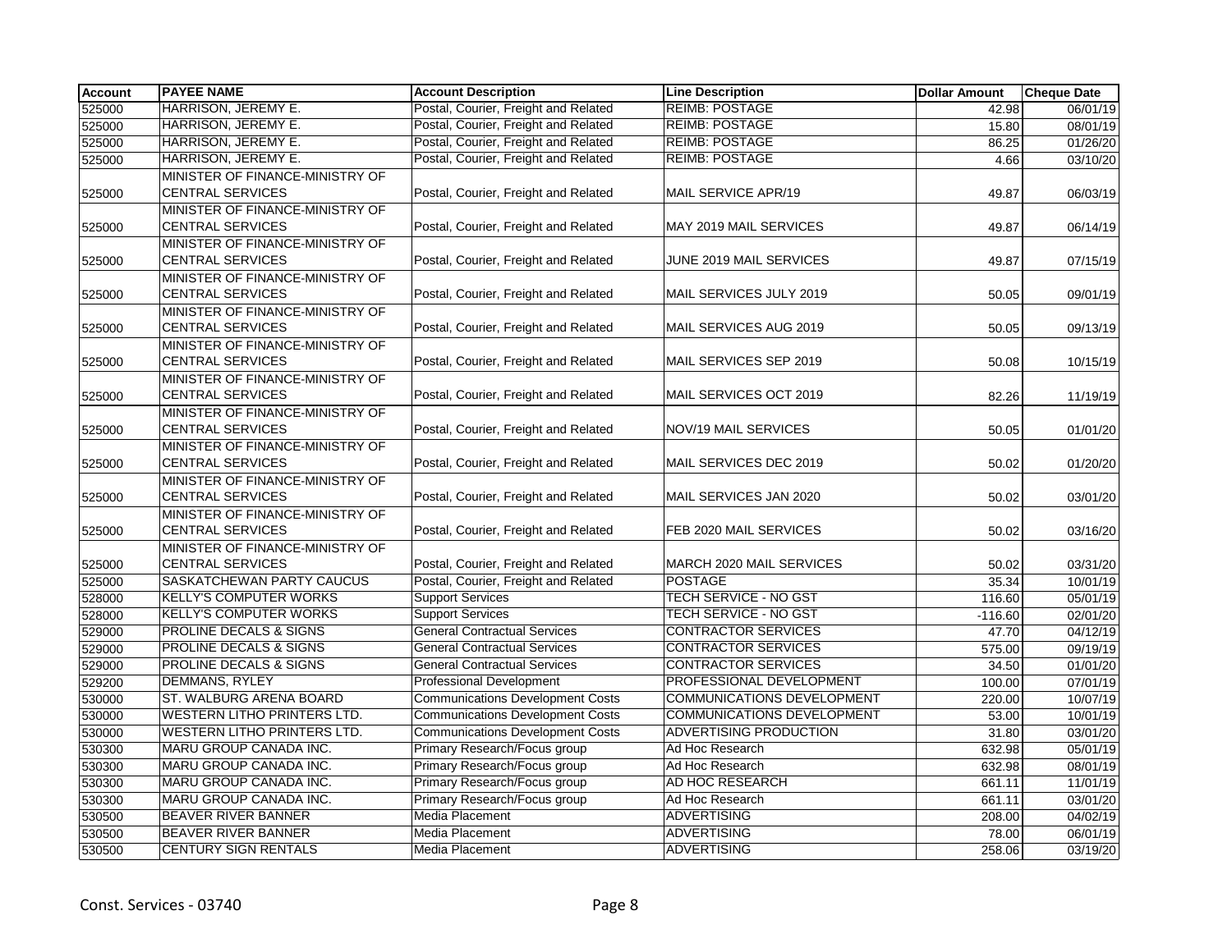| <b>Account</b> | <b>PAYEE NAME</b>                  | <b>Account Description</b>              | <b>Line Description</b>           | <b>Dollar Amount</b> | <b>Cheque Date</b> |
|----------------|------------------------------------|-----------------------------------------|-----------------------------------|----------------------|--------------------|
| 525000         | HARRISON, JEREMY E.                | Postal, Courier, Freight and Related    | <b>REIMB: POSTAGE</b>             | 42.98                | 06/01/19           |
| 525000         | HARRISON, JEREMY E.                | Postal, Courier, Freight and Related    | <b>REIMB: POSTAGE</b>             | 15.80                | 08/01/19           |
| 525000         | HARRISON, JEREMY E.                | Postal, Courier, Freight and Related    | <b>REIMB: POSTAGE</b>             | 86.25                | 01/26/20           |
| 525000         | HARRISON, JEREMY E.                | Postal, Courier, Freight and Related    | <b>REIMB: POSTAGE</b>             | 4.66                 | 03/10/20           |
|                | MINISTER OF FINANCE-MINISTRY OF    |                                         |                                   |                      |                    |
| 525000         | <b>CENTRAL SERVICES</b>            | Postal, Courier, Freight and Related    | MAIL SERVICE APR/19               | 49.87                | 06/03/19           |
|                | MINISTER OF FINANCE-MINISTRY OF    |                                         |                                   |                      |                    |
| 525000         | <b>CENTRAL SERVICES</b>            | Postal, Courier, Freight and Related    | MAY 2019 MAIL SERVICES            | 49.87                | 06/14/19           |
|                | MINISTER OF FINANCE-MINISTRY OF    |                                         |                                   |                      |                    |
| 525000         | <b>CENTRAL SERVICES</b>            | Postal, Courier, Freight and Related    | JUNE 2019 MAIL SERVICES           | 49.87                | 07/15/19           |
|                | MINISTER OF FINANCE-MINISTRY OF    |                                         |                                   |                      |                    |
| 525000         | <b>CENTRAL SERVICES</b>            | Postal, Courier, Freight and Related    | MAIL SERVICES JULY 2019           | 50.05                | 09/01/19           |
|                | MINISTER OF FINANCE-MINISTRY OF    |                                         |                                   |                      |                    |
| 525000         | <b>CENTRAL SERVICES</b>            | Postal, Courier, Freight and Related    | MAIL SERVICES AUG 2019            | 50.05                | 09/13/19           |
|                | MINISTER OF FINANCE-MINISTRY OF    |                                         |                                   |                      |                    |
| 525000         | <b>CENTRAL SERVICES</b>            | Postal, Courier, Freight and Related    | MAIL SERVICES SEP 2019            | 50.08                | 10/15/19           |
|                | MINISTER OF FINANCE-MINISTRY OF    |                                         |                                   |                      |                    |
| 525000         | <b>CENTRAL SERVICES</b>            | Postal, Courier, Freight and Related    | MAIL SERVICES OCT 2019            | 82.26                | 11/19/19           |
|                | MINISTER OF FINANCE-MINISTRY OF    |                                         |                                   |                      |                    |
| 525000         | <b>CENTRAL SERVICES</b>            | Postal, Courier, Freight and Related    | NOV/19 MAIL SERVICES              | 50.05                | 01/01/20           |
|                | MINISTER OF FINANCE-MINISTRY OF    |                                         |                                   |                      |                    |
| 525000         | <b>CENTRAL SERVICES</b>            | Postal, Courier, Freight and Related    | MAIL SERVICES DEC 2019            | 50.02                | 01/20/20           |
|                | MINISTER OF FINANCE-MINISTRY OF    |                                         |                                   |                      |                    |
| 525000         | <b>CENTRAL SERVICES</b>            | Postal, Courier, Freight and Related    | MAIL SERVICES JAN 2020            | 50.02                | 03/01/20           |
|                | MINISTER OF FINANCE-MINISTRY OF    |                                         |                                   |                      |                    |
| 525000         | <b>CENTRAL SERVICES</b>            | Postal, Courier, Freight and Related    | FEB 2020 MAIL SERVICES            | 50.02                | 03/16/20           |
|                | MINISTER OF FINANCE-MINISTRY OF    |                                         |                                   |                      |                    |
| 525000         | <b>CENTRAL SERVICES</b>            | Postal, Courier, Freight and Related    | MARCH 2020 MAIL SERVICES          | 50.02                | 03/31/20           |
| 525000         | SASKATCHEWAN PARTY CAUCUS          | Postal, Courier, Freight and Related    | <b>POSTAGE</b>                    | 35.34                | 10/01/19           |
| 528000         | <b>KELLY'S COMPUTER WORKS</b>      | <b>Support Services</b>                 | TECH SERVICE - NO GST             | 116.60               | 05/01/19           |
| 528000         | <b>KELLY'S COMPUTER WORKS</b>      | <b>Support Services</b>                 | TECH SERVICE - NO GST             | $-116.60$            | 02/01/20           |
| 529000         | PROLINE DECALS & SIGNS             | <b>General Contractual Services</b>     | <b>CONTRACTOR SERVICES</b>        | 47.70                | 04/12/19           |
| 529000         | PROLINE DECALS & SIGNS             | <b>General Contractual Services</b>     | <b>CONTRACTOR SERVICES</b>        | 575.00               | 09/19/19           |
| 529000         | PROLINE DECALS & SIGNS             | <b>General Contractual Services</b>     | <b>CONTRACTOR SERVICES</b>        | 34.50                | 01/01/20           |
| 529200         | <b>DEMMANS, RYLEY</b>              | <b>Professional Development</b>         | PROFESSIONAL DEVELOPMENT          | 100.00               | 07/01/19           |
| 530000         | ST. WALBURG ARENA BOARD            | <b>Communications Development Costs</b> | <b>COMMUNICATIONS DEVELOPMENT</b> | 220.00               | 10/07/19           |
| 530000         | WESTERN LITHO PRINTERS LTD.        | <b>Communications Development Costs</b> | <b>COMMUNICATIONS DEVELOPMENT</b> | 53.00                | 10/01/19           |
| 530000         | <b>WESTERN LITHO PRINTERS LTD.</b> | <b>Communications Development Costs</b> | ADVERTISING PRODUCTION            | 31.80                | 03/01/20           |
| 530300         | MARU GROUP CANADA INC.             | Primary Research/Focus group            | Ad Hoc Research                   | 632.98               | 05/01/19           |
| 530300         | MARU GROUP CANADA INC.             | Primary Research/Focus group            | Ad Hoc Research                   | 632.98               | 08/01/19           |
| 530300         | MARU GROUP CANADA INC.             | Primary Research/Focus group            | AD HOC RESEARCH                   | 661.11               | 11/01/19           |
| 530300         | MARU GROUP CANADA INC.             | Primary Research/Focus group            | Ad Hoc Research                   | 661.11               | 03/01/20           |
| 530500         | <b>BEAVER RIVER BANNER</b>         | Media Placement                         | <b>ADVERTISING</b>                | 208.00               | 04/02/19           |
| 530500         | BEAVER RIVER BANNER                | Media Placement                         | <b>ADVERTISING</b>                | 78.00                | 06/01/19           |
| 530500         | <b>CENTURY SIGN RENTALS</b>        | Media Placement                         | <b>ADVERTISING</b>                | 258.06               | 03/19/20           |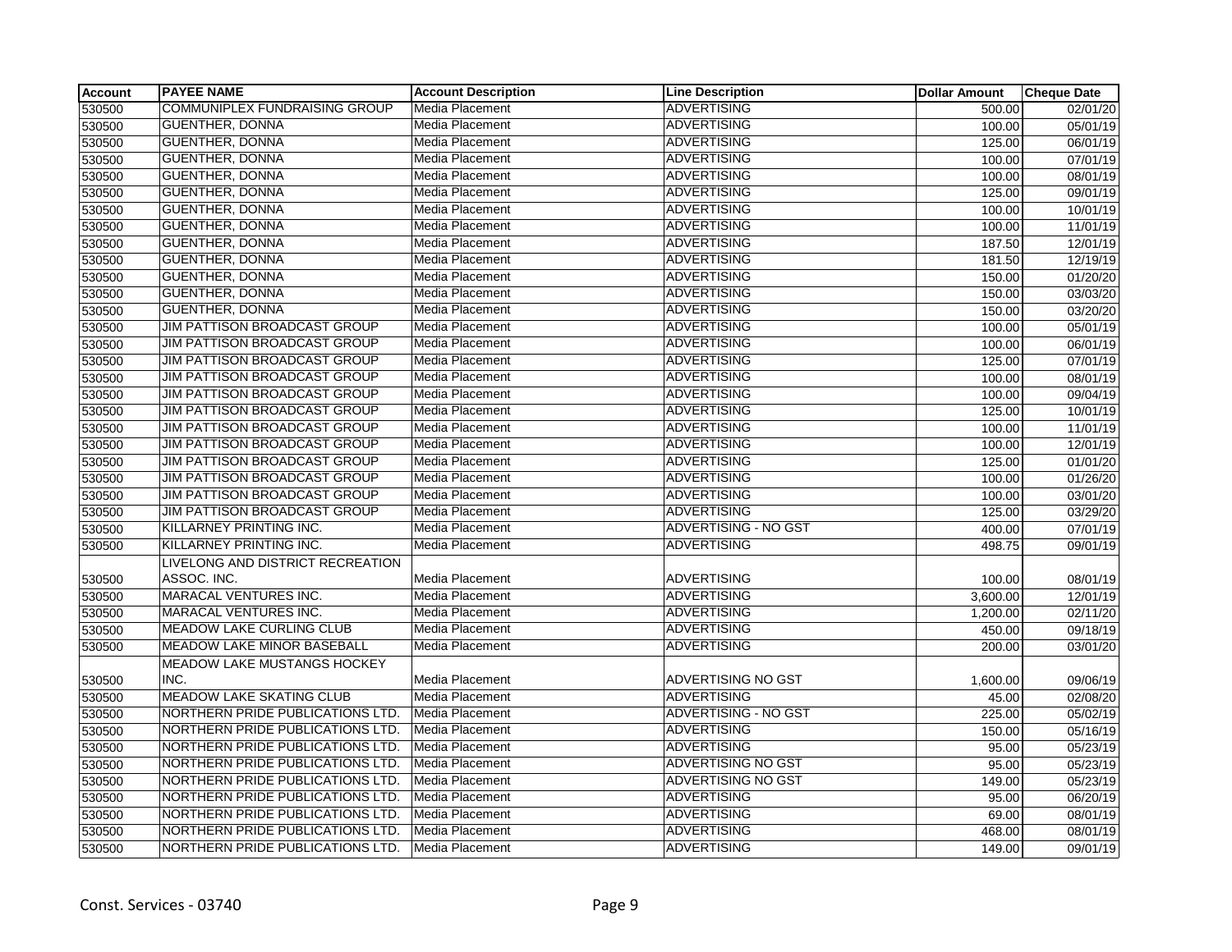| <b>Account</b> | <b>PAYEE NAME</b>                    | <b>Account Description</b> | <b>Line Description</b>     | <b>Dollar Amount</b> | <b>Cheque Date</b>    |
|----------------|--------------------------------------|----------------------------|-----------------------------|----------------------|-----------------------|
| 530500         | <b>COMMUNIPLEX FUNDRAISING GROUP</b> | Media Placement            | <b>ADVERTISING</b>          | 500.00               | 02/01/20              |
| 530500         | GUENTHER, DONNA                      | Media Placement            | <b>ADVERTISING</b>          | 100.00               | 05/01/19              |
| 530500         | <b>GUENTHER, DONNA</b>               | Media Placement            | <b>ADVERTISING</b>          | 125.00               | 06/01/19              |
| 530500         | GUENTHER, DONNA                      | Media Placement            | <b>ADVERTISING</b>          | 100.00               | 07/01/19              |
| 530500         | <b>GUENTHER, DONNA</b>               | Media Placement            | <b>ADVERTISING</b>          | 100.00               | 08/01/19              |
| 530500         | <b>GUENTHER, DONNA</b>               | Media Placement            | <b>ADVERTISING</b>          | 125.00               | 09/01/19              |
| 530500         | GUENTHER, DONNA                      | Media Placement            | <b>ADVERTISING</b>          | 100.00               | 10/01/19              |
| 530500         | <b>GUENTHER, DONNA</b>               | Media Placement            | <b>ADVERTISING</b>          | 100.00               | 11/01/19              |
| 530500         | <b>GUENTHER, DONNA</b>               | Media Placement            | <b>ADVERTISING</b>          | 187.50               | 12/01/19              |
| 530500         | <b>GUENTHER, DONNA</b>               | Media Placement            | <b>ADVERTISING</b>          | 181.50               | 12/19/19              |
| 530500         | <b>GUENTHER, DONNA</b>               | Media Placement            | <b>ADVERTISING</b>          | 150.00               | 01/20/20              |
| 530500         | <b>GUENTHER, DONNA</b>               | Media Placement            | <b>ADVERTISING</b>          | 150.00               | 03/03/20              |
| 530500         | <b>GUENTHER, DONNA</b>               | Media Placement            | <b>ADVERTISING</b>          | 150.00               | 03/20/20              |
| 530500         | JIM PATTISON BROADCAST GROUP         | Media Placement            | <b>ADVERTISING</b>          | 100.00               | 05/01/19              |
| 530500         | JIM PATTISON BROADCAST GROUP         | Media Placement            | <b>ADVERTISING</b>          | 100.00               | 06/01/19              |
| 530500         | JIM PATTISON BROADCAST GROUP         | Media Placement            | <b>ADVERTISING</b>          | 125.00               | 07/01/19              |
| 530500         | JIM PATTISON BROADCAST GROUP         | Media Placement            | <b>ADVERTISING</b>          | 100.00               | 08/01/19              |
| 530500         | JIM PATTISON BROADCAST GROUP         | Media Placement            | <b>ADVERTISING</b>          | 100.00               | 09/04/19              |
| 530500         | JIM PATTISON BROADCAST GROUP         | Media Placement            | <b>ADVERTISING</b>          | 125.00               | 10/01/19              |
| 530500         | JIM PATTISON BROADCAST GROUP         | Media Placement            | <b>ADVERTISING</b>          | 100.00               | 11/01/19              |
| 530500         | JIM PATTISON BROADCAST GROUP         | Media Placement            | <b>ADVERTISING</b>          | 100.00               | 12/01/19              |
| 530500         | JIM PATTISON BROADCAST GROUP         | Media Placement            | <b>ADVERTISING</b>          | 125.00               | 01/01/20              |
| 530500         | <b>JIM PATTISON BROADCAST GROUP</b>  | Media Placement            | <b>ADVERTISING</b>          | 100.00               | 01/26/20              |
| 530500         | <b>JIM PATTISON BROADCAST GROUP</b>  | Media Placement            | <b>ADVERTISING</b>          | 100.00               | 03/01/20              |
| 530500         | <b>JIM PATTISON BROADCAST GROUP</b>  | Media Placement            | <b>ADVERTISING</b>          | 125.00               | 03/29/20              |
| 530500         | KILLARNEY PRINTING INC.              | Media Placement            | ADVERTISING - NO GST        | 400.00               | 07/01/19              |
| 530500         | <b>KILLARNEY PRINTING INC.</b>       | Media Placement            | <b>ADVERTISING</b>          | 498.75               | 09/01/19              |
|                | LIVELONG AND DISTRICT RECREATION     |                            |                             |                      |                       |
| 530500         | ASSOC. INC.                          | Media Placement            | <b>ADVERTISING</b>          | 100.00               | 08/01/19              |
| 530500         | MARACAL VENTURES INC.                | Media Placement            | <b>ADVERTISING</b>          | 3,600.00             | 12/01/19              |
| 530500         | <b>MARACAL VENTURES INC.</b>         | Media Placement            | <b>ADVERTISING</b>          | 1,200.00             | 02/11/20              |
| 530500         | <b>MEADOW LAKE CURLING CLUB</b>      | Media Placement            | <b>ADVERTISING</b>          | 450.00               | $\overline{09/18/19}$ |
| 530500         | <b>MEADOW LAKE MINOR BASEBALL</b>    | Media Placement            | <b>ADVERTISING</b>          | 200.00               | 03/01/20              |
|                | <b>MEADOW LAKE MUSTANGS HOCKEY</b>   |                            |                             |                      |                       |
| 530500         | INC.                                 | Media Placement            | <b>ADVERTISING NO GST</b>   | 1,600.00             | 09/06/19              |
| 530500         | <b>MEADOW LAKE SKATING CLUB</b>      | Media Placement            | <b>ADVERTISING</b>          | 45.00                | 02/08/20              |
| 530500         | NORTHERN PRIDE PUBLICATIONS LTD.     | Media Placement            | <b>ADVERTISING - NO GST</b> | 225.00               | 05/02/19              |
| 530500         | NORTHERN PRIDE PUBLICATIONS LTD.     | Media Placement            | <b>ADVERTISING</b>          | 150.00               | 05/16/19              |
| 530500         | NORTHERN PRIDE PUBLICATIONS LTD.     | Media Placement            | <b>ADVERTISING</b>          | 95.00                | 05/23/19              |
| 530500         | NORTHERN PRIDE PUBLICATIONS LTD.     | Media Placement            | <b>ADVERTISING NO GST</b>   | 95.00                | 05/23/19              |
| 530500         | NORTHERN PRIDE PUBLICATIONS LTD.     | Media Placement            | ADVERTISING NO GST          | 149.00               | 05/23/19              |
| 530500         | NORTHERN PRIDE PUBLICATIONS LTD.     | Media Placement            | <b>ADVERTISING</b>          | 95.00                | 06/20/19              |
| 530500         | NORTHERN PRIDE PUBLICATIONS LTD.     | Media Placement            | <b>ADVERTISING</b>          | 69.00                | 08/01/19              |
| 530500         | NORTHERN PRIDE PUBLICATIONS LTD.     | Media Placement            | <b>ADVERTISING</b>          | 468.00               | 08/01/19              |
| 530500         | NORTHERN PRIDE PUBLICATIONS LTD.     | Media Placement            | <b>ADVERTISING</b>          | 149.00               | 09/01/19              |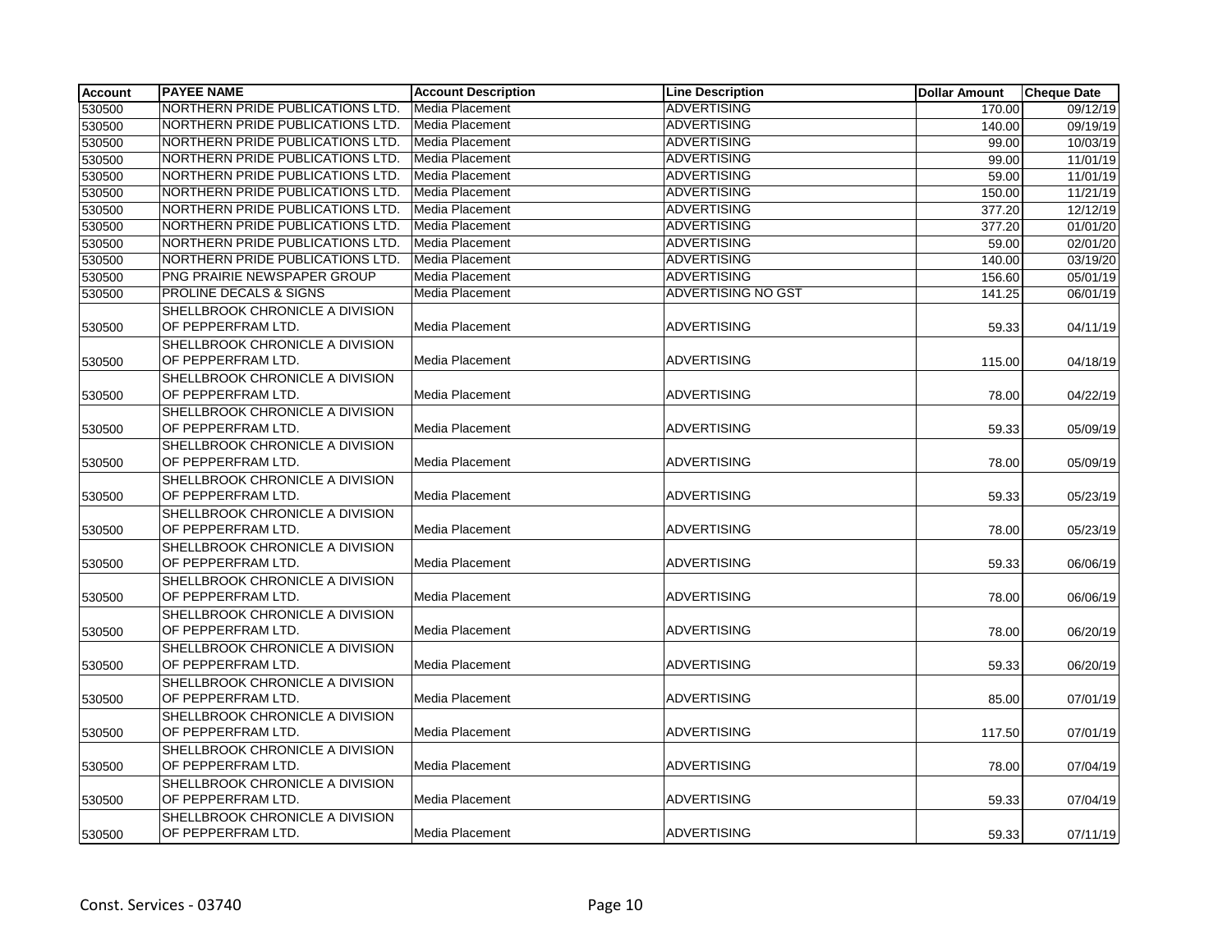| <b>Account</b> | <b>PAYEE NAME</b>                                     | <b>Account Description</b> | <b>Line Description</b>   | <b>Dollar Amount</b> | <b>Cheque Date</b> |
|----------------|-------------------------------------------------------|----------------------------|---------------------------|----------------------|--------------------|
| 530500         | NORTHERN PRIDE PUBLICATIONS LTD.                      | Media Placement            | <b>ADVERTISING</b>        | 170.00               | 09/12/19           |
| 530500         | NORTHERN PRIDE PUBLICATIONS LTD.                      | Media Placement            | <b>ADVERTISING</b>        | 140.00               | 09/19/19           |
| 530500         | NORTHERN PRIDE PUBLICATIONS LTD.                      | Media Placement            | <b>ADVERTISING</b>        | 99.00                | 10/03/19           |
| 530500         | NORTHERN PRIDE PUBLICATIONS LTD.                      | Media Placement            | <b>ADVERTISING</b>        | 99.00                | 11/01/19           |
| 530500         | NORTHERN PRIDE PUBLICATIONS LTD.                      | Media Placement            | <b>ADVERTISING</b>        | 59.00                | 11/01/19           |
| 530500         | NORTHERN PRIDE PUBLICATIONS LTD.                      | Media Placement            | <b>ADVERTISING</b>        | 150.00               | 11/21/19           |
| 530500         | NORTHERN PRIDE PUBLICATIONS LTD.                      | Media Placement            | <b>ADVERTISING</b>        | 377.20               | 12/12/19           |
| 530500         | NORTHERN PRIDE PUBLICATIONS LTD.                      | Media Placement            | <b>ADVERTISING</b>        | 377.20               | 01/01/20           |
| 530500         | NORTHERN PRIDE PUBLICATIONS LTD.                      | Media Placement            | ADVERTISING               | 59.00                | 02/01/20           |
| 530500         | NORTHERN PRIDE PUBLICATIONS LTD.                      | Media Placement            | <b>ADVERTISING</b>        | 140.00               | 03/19/20           |
| 530500         | PNG PRAIRIE NEWSPAPER GROUP                           | Media Placement            | <b>ADVERTISING</b>        | 156.60               | 05/01/19           |
| 530500         | <b>PROLINE DECALS &amp; SIGNS</b>                     | Media Placement            | <b>ADVERTISING NO GST</b> | 141.25               | 06/01/19           |
| 530500         | SHELLBROOK CHRONICLE A DIVISION<br>OF PEPPERFRAM LTD. | Media Placement            | <b>ADVERTISING</b>        | 59.33                | 04/11/19           |
| 530500         | SHELLBROOK CHRONICLE A DIVISION<br>OF PEPPERFRAM LTD. | <b>Media Placement</b>     | <b>ADVERTISING</b>        | 115.00               | 04/18/19           |
| 530500         | SHELLBROOK CHRONICLE A DIVISION<br>OF PEPPERFRAM LTD. | <b>Media Placement</b>     | <b>ADVERTISING</b>        | 78.00                | 04/22/19           |
| 530500         | SHELLBROOK CHRONICLE A DIVISION<br>OF PEPPERFRAM LTD. | Media Placement            | <b>ADVERTISING</b>        | 59.33                | 05/09/19           |
| 530500         | SHELLBROOK CHRONICLE A DIVISION<br>OF PEPPERFRAM LTD. | Media Placement            | <b>ADVERTISING</b>        | 78.00                | 05/09/19           |
| 530500         | SHELLBROOK CHRONICLE A DIVISION<br>OF PEPPERFRAM LTD. | Media Placement            | <b>ADVERTISING</b>        | 59.33                | 05/23/19           |
| 530500         | SHELLBROOK CHRONICLE A DIVISION<br>OF PEPPERFRAM LTD. | Media Placement            | <b>ADVERTISING</b>        | 78.00                | 05/23/19           |
| 530500         | SHELLBROOK CHRONICLE A DIVISION<br>OF PEPPERFRAM LTD. | <b>Media Placement</b>     | <b>ADVERTISING</b>        | 59.33                | 06/06/19           |
| 530500         | SHELLBROOK CHRONICLE A DIVISION<br>OF PEPPERFRAM LTD. | Media Placement            | <b>ADVERTISING</b>        | 78.00                | 06/06/19           |
| 530500         | SHELLBROOK CHRONICLE A DIVISION<br>OF PEPPERFRAM LTD. | Media Placement            | <b>ADVERTISING</b>        | 78.00                | 06/20/19           |
| 530500         | SHELLBROOK CHRONICLE A DIVISION<br>OF PEPPERFRAM LTD. | Media Placement            | <b>ADVERTISING</b>        | 59.33                | 06/20/19           |
| 530500         | SHELLBROOK CHRONICLE A DIVISION<br>OF PEPPERFRAM LTD. | Media Placement            | <b>ADVERTISING</b>        | 85.00                | 07/01/19           |
| 530500         | SHELLBROOK CHRONICLE A DIVISION<br>OF PEPPERFRAM LTD. | <b>Media Placement</b>     | <b>ADVERTISING</b>        | 117.50               | 07/01/19           |
| 530500         | SHELLBROOK CHRONICLE A DIVISION<br>OF PEPPERFRAM LTD. | Media Placement            | <b>ADVERTISING</b>        | 78.00                | 07/04/19           |
| 530500         | SHELLBROOK CHRONICLE A DIVISION<br>OF PEPPERFRAM LTD. | <b>Media Placement</b>     | <b>ADVERTISING</b>        | 59.33                | 07/04/19           |
| 530500         | SHELLBROOK CHRONICLE A DIVISION<br>OF PEPPERFRAM LTD. | Media Placement            | ADVERTISING               | 59.33                | 07/11/19           |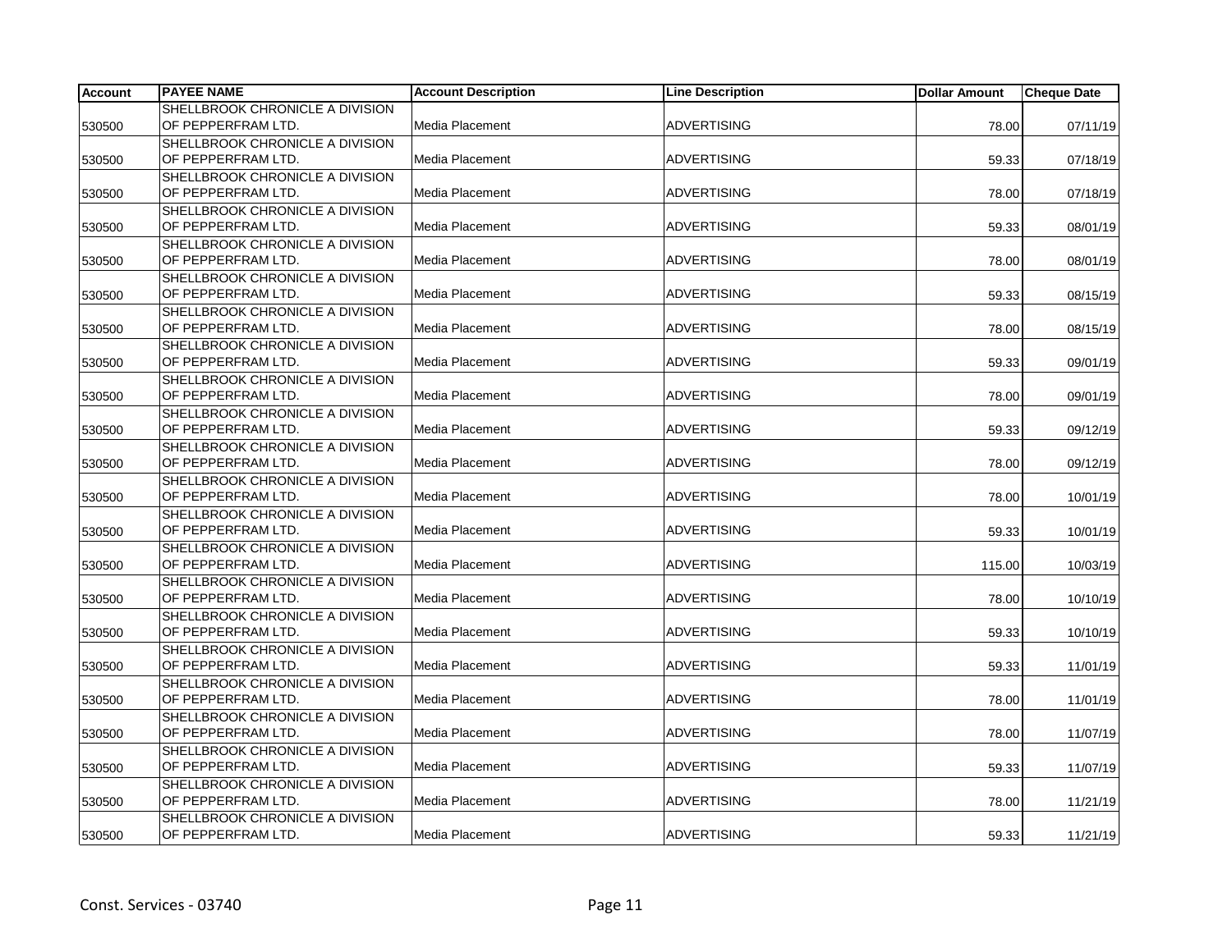| <b>Account</b> | <b>PAYEE NAME</b>               | <b>Account Description</b> | <b>Line Description</b> | <b>Dollar Amount</b> | <b>Cheque Date</b> |
|----------------|---------------------------------|----------------------------|-------------------------|----------------------|--------------------|
|                | SHELLBROOK CHRONICLE A DIVISION |                            |                         |                      |                    |
| 530500         | OF PEPPERFRAM LTD.              | Media Placement            | <b>ADVERTISING</b>      | 78.00                | 07/11/19           |
|                | SHELLBROOK CHRONICLE A DIVISION |                            |                         |                      |                    |
| 530500         | OF PEPPERFRAM LTD.              | Media Placement            | <b>ADVERTISING</b>      | 59.33                | 07/18/19           |
|                | SHELLBROOK CHRONICLE A DIVISION |                            |                         |                      |                    |
| 530500         | OF PEPPERFRAM LTD.              | Media Placement            | <b>ADVERTISING</b>      | 78.00                | 07/18/19           |
|                | SHELLBROOK CHRONICLE A DIVISION |                            |                         |                      |                    |
| 530500         | OF PEPPERFRAM LTD.              | Media Placement            | <b>ADVERTISING</b>      | 59.33                | 08/01/19           |
|                | SHELLBROOK CHRONICLE A DIVISION |                            |                         |                      |                    |
| 530500         | OF PEPPERFRAM LTD.              | Media Placement            | <b>ADVERTISING</b>      | 78.00                | 08/01/19           |
|                | SHELLBROOK CHRONICLE A DIVISION |                            |                         |                      |                    |
| 530500         | OF PEPPERFRAM LTD.              | Media Placement            | <b>ADVERTISING</b>      | 59.33                | 08/15/19           |
|                | SHELLBROOK CHRONICLE A DIVISION |                            |                         |                      |                    |
| 530500         | OF PEPPERFRAM LTD.              | Media Placement            | <b>ADVERTISING</b>      | 78.00                | 08/15/19           |
|                | SHELLBROOK CHRONICLE A DIVISION |                            |                         |                      |                    |
| 530500         | OF PEPPERFRAM LTD.              | Media Placement            | <b>ADVERTISING</b>      | 59.33                | 09/01/19           |
|                | SHELLBROOK CHRONICLE A DIVISION |                            |                         |                      |                    |
| 530500         | OF PEPPERFRAM LTD.              | Media Placement            | <b>ADVERTISING</b>      | 78.00                | 09/01/19           |
|                | SHELLBROOK CHRONICLE A DIVISION |                            |                         |                      |                    |
| 530500         | OF PEPPERFRAM LTD.              | Media Placement            | <b>ADVERTISING</b>      | 59.33                | 09/12/19           |
|                | SHELLBROOK CHRONICLE A DIVISION |                            |                         |                      |                    |
| 530500         | OF PEPPERFRAM LTD.              | Media Placement            | <b>ADVERTISING</b>      | 78.00                | 09/12/19           |
|                | SHELLBROOK CHRONICLE A DIVISION |                            |                         |                      |                    |
| 530500         | OF PEPPERFRAM LTD.              | Media Placement            | <b>ADVERTISING</b>      | 78.00                | 10/01/19           |
|                | SHELLBROOK CHRONICLE A DIVISION |                            |                         |                      |                    |
| 530500         | OF PEPPERFRAM LTD.              | Media Placement            | <b>ADVERTISING</b>      | 59.33                | 10/01/19           |
|                | SHELLBROOK CHRONICLE A DIVISION |                            |                         |                      |                    |
| 530500         | OF PEPPERFRAM LTD.              | Media Placement            | <b>ADVERTISING</b>      | 115.00               | 10/03/19           |
|                | SHELLBROOK CHRONICLE A DIVISION |                            |                         |                      |                    |
| 530500         | OF PEPPERFRAM LTD.              | Media Placement            | <b>ADVERTISING</b>      | 78.00                | 10/10/19           |
|                | SHELLBROOK CHRONICLE A DIVISION |                            |                         |                      |                    |
| 530500         | OF PEPPERFRAM LTD.              | Media Placement            | <b>ADVERTISING</b>      | 59.33                | 10/10/19           |
|                | SHELLBROOK CHRONICLE A DIVISION |                            |                         |                      |                    |
| 530500         | OF PEPPERFRAM LTD.              | Media Placement            | <b>ADVERTISING</b>      | 59.33                | 11/01/19           |
|                | SHELLBROOK CHRONICLE A DIVISION |                            |                         |                      |                    |
| 530500         | OF PEPPERFRAM LTD.              | Media Placement            | <b>ADVERTISING</b>      | 78.00                | 11/01/19           |
|                | SHELLBROOK CHRONICLE A DIVISION |                            |                         |                      |                    |
| 530500         | OF PEPPERFRAM LTD.              | Media Placement            | <b>ADVERTISING</b>      | 78.00                | 11/07/19           |
|                | SHELLBROOK CHRONICLE A DIVISION |                            |                         |                      |                    |
| 530500         | OF PEPPERFRAM LTD.              | Media Placement            | <b>ADVERTISING</b>      | 59.33                | 11/07/19           |
|                | SHELLBROOK CHRONICLE A DIVISION |                            |                         |                      |                    |
| 530500         | OF PEPPERFRAM LTD.              | Media Placement            | <b>ADVERTISING</b>      | 78.00                | 11/21/19           |
|                | SHELLBROOK CHRONICLE A DIVISION |                            |                         |                      |                    |
| 530500         | OF PEPPERFRAM LTD.              | <b>Media Placement</b>     | ADVERTISING             | 59.33                | 11/21/19           |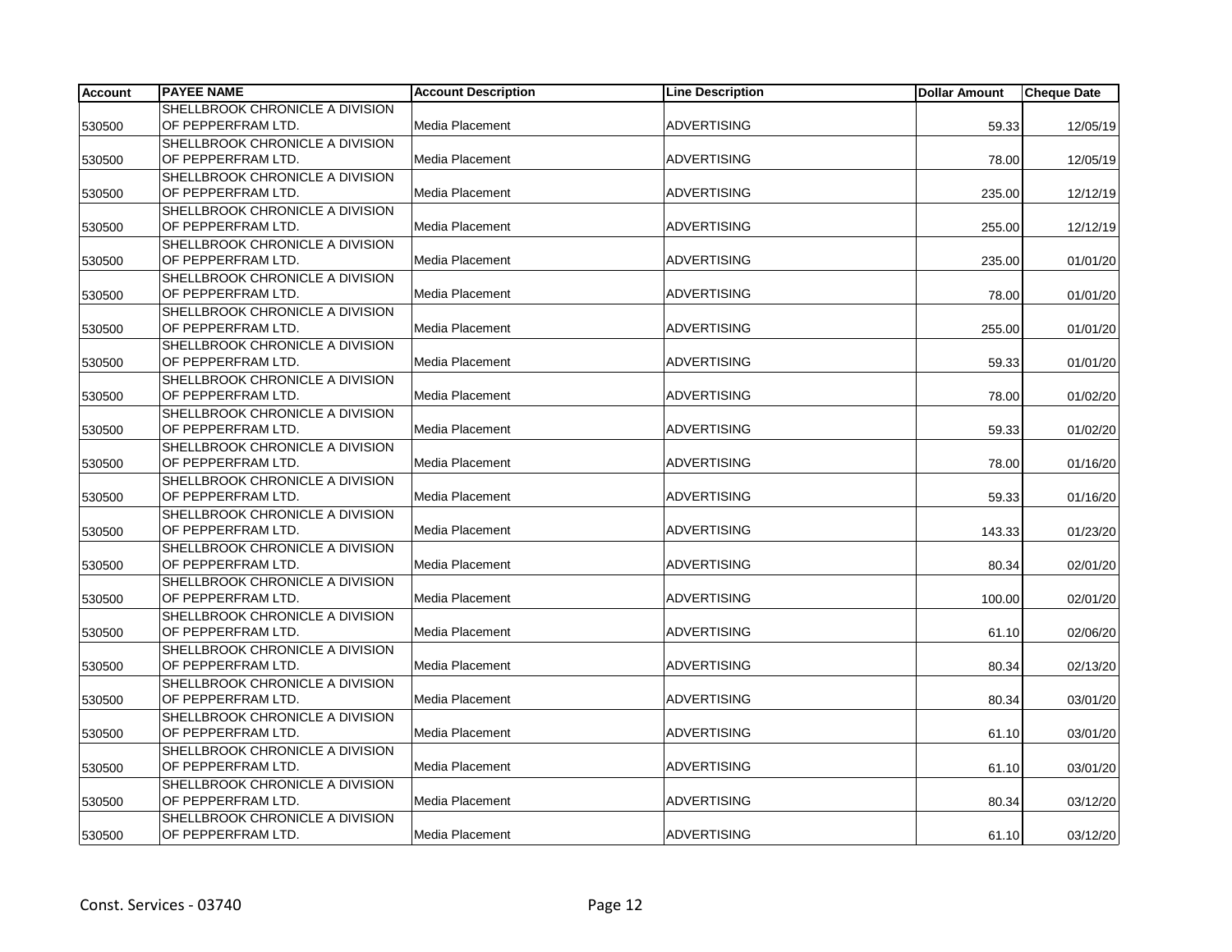| <b>Account</b> | <b>PAYEE NAME</b>                      | <b>Account Description</b> | <b>Line Description</b> | <b>Dollar Amount</b> | <b>Cheque Date</b> |
|----------------|----------------------------------------|----------------------------|-------------------------|----------------------|--------------------|
|                | SHELLBROOK CHRONICLE A DIVISION        |                            |                         |                      |                    |
| 530500         | OF PEPPERFRAM LTD.                     | Media Placement            | <b>ADVERTISING</b>      | 59.33                | 12/05/19           |
|                | SHELLBROOK CHRONICLE A DIVISION        |                            |                         |                      |                    |
| 530500         | OF PEPPERFRAM LTD.                     | Media Placement            | <b>ADVERTISING</b>      | 78.00                | 12/05/19           |
|                | SHELLBROOK CHRONICLE A DIVISION        |                            |                         |                      |                    |
| 530500         | OF PEPPERFRAM LTD.                     | Media Placement            | <b>ADVERTISING</b>      | 235.00               | 12/12/19           |
|                | SHELLBROOK CHRONICLE A DIVISION        |                            |                         |                      |                    |
| 530500         | OF PEPPERFRAM LTD.                     | Media Placement            | <b>ADVERTISING</b>      | 255.00               | 12/12/19           |
|                | <b>SHELLBROOK CHRONICLE A DIVISION</b> |                            |                         |                      |                    |
| 530500         | OF PEPPERFRAM LTD.                     | Media Placement            | <b>ADVERTISING</b>      | 235.00               | 01/01/20           |
|                | SHELLBROOK CHRONICLE A DIVISION        |                            |                         |                      |                    |
| 530500         | OF PEPPERFRAM LTD.                     | Media Placement            | <b>ADVERTISING</b>      | 78.00                | 01/01/20           |
|                | SHELLBROOK CHRONICLE A DIVISION        |                            |                         |                      |                    |
| 530500         | OF PEPPERFRAM LTD.                     | Media Placement            | <b>ADVERTISING</b>      | 255.00               | 01/01/20           |
|                | SHELLBROOK CHRONICLE A DIVISION        |                            |                         |                      |                    |
| 530500         | OF PEPPERFRAM LTD.                     | Media Placement            | <b>ADVERTISING</b>      | 59.33                | 01/01/20           |
|                | SHELLBROOK CHRONICLE A DIVISION        |                            |                         |                      |                    |
| 530500         | OF PEPPERFRAM LTD.                     | Media Placement            | <b>ADVERTISING</b>      | 78.00                | 01/02/20           |
|                | SHELLBROOK CHRONICLE A DIVISION        |                            |                         |                      |                    |
| 530500         | OF PEPPERFRAM LTD.                     | Media Placement            | <b>ADVERTISING</b>      | 59.33                | 01/02/20           |
|                | SHELLBROOK CHRONICLE A DIVISION        |                            |                         |                      |                    |
| 530500         | OF PEPPERFRAM LTD.                     | Media Placement            | <b>ADVERTISING</b>      | 78.00                | 01/16/20           |
|                | SHELLBROOK CHRONICLE A DIVISION        |                            |                         |                      |                    |
| 530500         | OF PEPPERFRAM LTD.                     | Media Placement            | <b>ADVERTISING</b>      | 59.33                | 01/16/20           |
|                | SHELLBROOK CHRONICLE A DIVISION        |                            |                         |                      |                    |
| 530500         | OF PEPPERFRAM LTD.                     | Media Placement            | <b>ADVERTISING</b>      | 143.33               | 01/23/20           |
|                | SHELLBROOK CHRONICLE A DIVISION        |                            |                         |                      |                    |
| 530500         | OF PEPPERFRAM LTD.                     | Media Placement            | <b>ADVERTISING</b>      | 80.34                | 02/01/20           |
|                | SHELLBROOK CHRONICLE A DIVISION        |                            |                         |                      |                    |
| 530500         | OF PEPPERFRAM LTD.                     | Media Placement            | <b>ADVERTISING</b>      | 100.00               | 02/01/20           |
|                | SHELLBROOK CHRONICLE A DIVISION        |                            |                         |                      |                    |
| 530500         | OF PEPPERFRAM LTD.                     | Media Placement            | <b>ADVERTISING</b>      | 61.10                | 02/06/20           |
|                | SHELLBROOK CHRONICLE A DIVISION        |                            |                         |                      |                    |
| 530500         | OF PEPPERFRAM LTD.                     | Media Placement            | <b>ADVERTISING</b>      | 80.34                | 02/13/20           |
|                | SHELLBROOK CHRONICLE A DIVISION        |                            |                         |                      |                    |
| 530500         | OF PEPPERFRAM LTD.                     | Media Placement            | <b>ADVERTISING</b>      | 80.34                | 03/01/20           |
|                | SHELLBROOK CHRONICLE A DIVISION        |                            |                         |                      |                    |
| 530500         | OF PEPPERFRAM LTD.                     | Media Placement            | <b>ADVERTISING</b>      | 61.10                | 03/01/20           |
|                | SHELLBROOK CHRONICLE A DIVISION        |                            |                         |                      |                    |
| 530500         | OF PEPPERFRAM LTD.                     | Media Placement            | <b>ADVERTISING</b>      | 61.10                | 03/01/20           |
|                | SHELLBROOK CHRONICLE A DIVISION        |                            |                         |                      |                    |
| 530500         | OF PEPPERFRAM LTD.                     | Media Placement            | <b>ADVERTISING</b>      | 80.34                | 03/12/20           |
|                | SHELLBROOK CHRONICLE A DIVISION        |                            |                         |                      |                    |
| 530500         | OF PEPPERFRAM LTD.                     | <b>Media Placement</b>     | <b>ADVERTISING</b>      | 61.10                | 03/12/20           |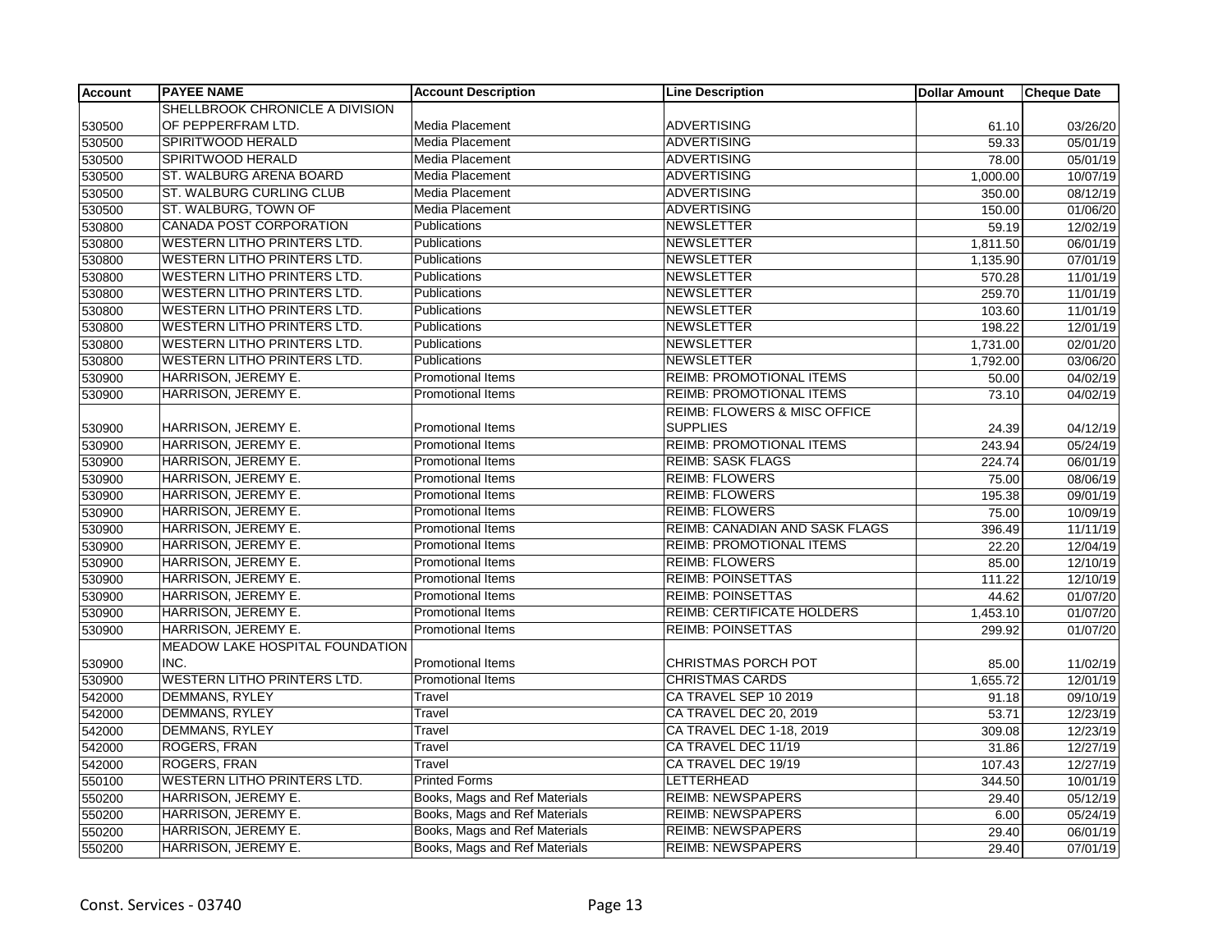| <b>Account</b> | <b>PAYEE NAME</b>                  | <b>Account Description</b>    | <b>Line Description</b>                 | <b>Dollar Amount</b> | <b>Cheque Date</b> |
|----------------|------------------------------------|-------------------------------|-----------------------------------------|----------------------|--------------------|
|                | SHELLBROOK CHRONICLE A DIVISION    |                               |                                         |                      |                    |
| 530500         | OF PEPPERFRAM LTD.                 | Media Placement               | <b>ADVERTISING</b>                      | 61.10                | 03/26/20           |
| 530500         | SPIRITWOOD HERALD                  | Media Placement               | <b>ADVERTISING</b>                      | 59.33                | 05/01/19           |
| 530500         | SPIRITWOOD HERALD                  | Media Placement               | <b>ADVERTISING</b>                      | 78.00                | 05/01/19           |
| 530500         | ST. WALBURG ARENA BOARD            | Media Placement               | <b>ADVERTISING</b>                      | 1,000.00             | 10/07/19           |
| 530500         | ST. WALBURG CURLING CLUB           | Media Placement               | <b>ADVERTISING</b>                      | 350.00               | 08/12/19           |
| 530500         | ST. WALBURG, TOWN OF               | Media Placement               | <b>ADVERTISING</b>                      | 150.00               | 01/06/20           |
| 530800         | CANADA POST CORPORATION            | Publications                  | <b>NEWSLETTER</b>                       | 59.19                | 12/02/19           |
| 530800         | <b>WESTERN LITHO PRINTERS LTD.</b> | Publications                  | <b>NEWSLETTER</b>                       | 1,811.50             | 06/01/19           |
| 530800         | WESTERN LITHO PRINTERS LTD.        | Publications                  | <b>NEWSLETTER</b>                       | 1,135.90             | 07/01/19           |
| 530800         | <b>WESTERN LITHO PRINTERS LTD.</b> | Publications                  | <b>NEWSLETTER</b>                       | 570.28               | 11/01/19           |
| 530800         | WESTERN LITHO PRINTERS LTD.        | Publications                  | <b>NEWSLETTER</b>                       | 259.70               | 11/01/19           |
| 530800         | WESTERN LITHO PRINTERS LTD.        | Publications                  | <b>NEWSLETTER</b>                       | 103.60               | 11/01/19           |
| 530800         | <b>WESTERN LITHO PRINTERS LTD.</b> | Publications                  | <b>NEWSLETTER</b>                       | 198.22               | 12/01/19           |
| 530800         | <b>WESTERN LITHO PRINTERS LTD.</b> | Publications                  | <b>NEWSLETTER</b>                       | 1,731.00             | 02/01/20           |
| 530800         | <b>WESTERN LITHO PRINTERS LTD.</b> | Publications                  | <b>NEWSLETTER</b>                       | 1,792.00             | 03/06/20           |
| 530900         | HARRISON, JEREMY E.                | Promotional Items             | <b>REIMB: PROMOTIONAL ITEMS</b>         | 50.00                | 04/02/19           |
| 530900         | HARRISON, JEREMY E.                | Promotional Items             | REIMB: PROMOTIONAL ITEMS                | 73.10                | 04/02/19           |
|                |                                    |                               | <b>REIMB: FLOWERS &amp; MISC OFFICE</b> |                      |                    |
| 530900         | HARRISON, JEREMY E.                | <b>Promotional Items</b>      | <b>SUPPLIES</b>                         | 24.39                | 04/12/19           |
| 530900         | <b>HARRISON, JEREMY E.</b>         | Promotional Items             | <b>REIMB: PROMOTIONAL ITEMS</b>         | 243.94               | 05/24/19           |
| 530900         | <b>HARRISON, JEREMY E.</b>         | <b>Promotional Items</b>      | <b>REIMB: SASK FLAGS</b>                | 224.74               | 06/01/19           |
| 530900         | HARRISON, JEREMY E.                | Promotional Items             | <b>REIMB: FLOWERS</b>                   | 75.00                | 08/06/19           |
| 530900         | HARRISON, JEREMY E.                | <b>Promotional Items</b>      | <b>REIMB: FLOWERS</b>                   | 195.38               | 09/01/19           |
| 530900         | HARRISON, JEREMY E.                | Promotional Items             | <b>REIMB: FLOWERS</b>                   | 75.00                | 10/09/19           |
| 530900         | HARRISON, JEREMY E.                | <b>Promotional Items</b>      | <b>REIMB: CANADIAN AND SASK FLAGS</b>   | 396.49               | 11/11/19           |
| 530900         | HARRISON, JEREMY E.                | <b>Promotional Items</b>      | <b>REIMB: PROMOTIONAL ITEMS</b>         | 22.20                | 12/04/19           |
| 530900         | HARRISON, JEREMY E.                | <b>Promotional Items</b>      | <b>REIMB: FLOWERS</b>                   | 85.00                | 12/10/19           |
| 530900         | HARRISON, JEREMY E.                | Promotional Items             | <b>REIMB: POINSETTAS</b>                | 111.22               | 12/10/19           |
| 530900         | <b>HARRISON, JEREMY E.</b>         | Promotional Items             | <b>REIMB: POINSETTAS</b>                | 44.62                | 01/07/20           |
| 530900         | HARRISON, JEREMY E.                | Promotional Items             | <b>REIMB: CERTIFICATE HOLDERS</b>       | 1,453.10             | 01/07/20           |
| 530900         | HARRISON, JEREMY E.                | <b>Promotional Items</b>      | <b>REIMB: POINSETTAS</b>                | 299.92               | 01/07/20           |
|                | MEADOW LAKE HOSPITAL FOUNDATION    |                               |                                         |                      |                    |
| 530900         | INC.                               | Promotional Items             | <b>CHRISTMAS PORCH POT</b>              | 85.00                | 11/02/19           |
| 530900         | <b>WESTERN LITHO PRINTERS LTD.</b> | <b>Promotional Items</b>      | <b>CHRISTMAS CARDS</b>                  | 1,655.72             | 12/01/19           |
| 542000         | <b>DEMMANS, RYLEY</b>              | Travel                        | CA TRAVEL SEP 10 2019                   | 91.18                | 09/10/19           |
| 542000         | <b>DEMMANS, RYLEY</b>              | Travel                        | CA TRAVEL DEC 20, 2019                  | 53.71                | 12/23/19           |
| 542000         | DEMMANS, RYLEY                     | Travel                        | CA TRAVEL DEC 1-18, 2019                | 309.08               | 12/23/19           |
| 542000         | ROGERS, FRAN                       | Travel                        | CA TRAVEL DEC 11/19                     | 31.86                | 12/27/19           |
| 542000         | ROGERS, FRAN                       | Travel                        | CA TRAVEL DEC 19/19                     | 107.43               | 12/27/19           |
| 550100         | WESTERN LITHO PRINTERS LTD.        | <b>Printed Forms</b>          | LETTERHEAD                              | 344.50               | 10/01/19           |
| 550200         | <b>HARRISON, JEREMY E.</b>         | Books, Mags and Ref Materials | <b>REIMB: NEWSPAPERS</b>                | 29.40                | 05/12/19           |
| 550200         | HARRISON, JEREMY E.                | Books, Mags and Ref Materials | <b>REIMB: NEWSPAPERS</b>                | 6.00                 | 05/24/19           |
| 550200         | HARRISON, JEREMY E.                | Books, Mags and Ref Materials | <b>REIMB: NEWSPAPERS</b>                | 29.40                | 06/01/19           |
| 550200         | HARRISON, JEREMY E.                | Books, Mags and Ref Materials | <b>REIMB: NEWSPAPERS</b>                | 29.40                | 07/01/19           |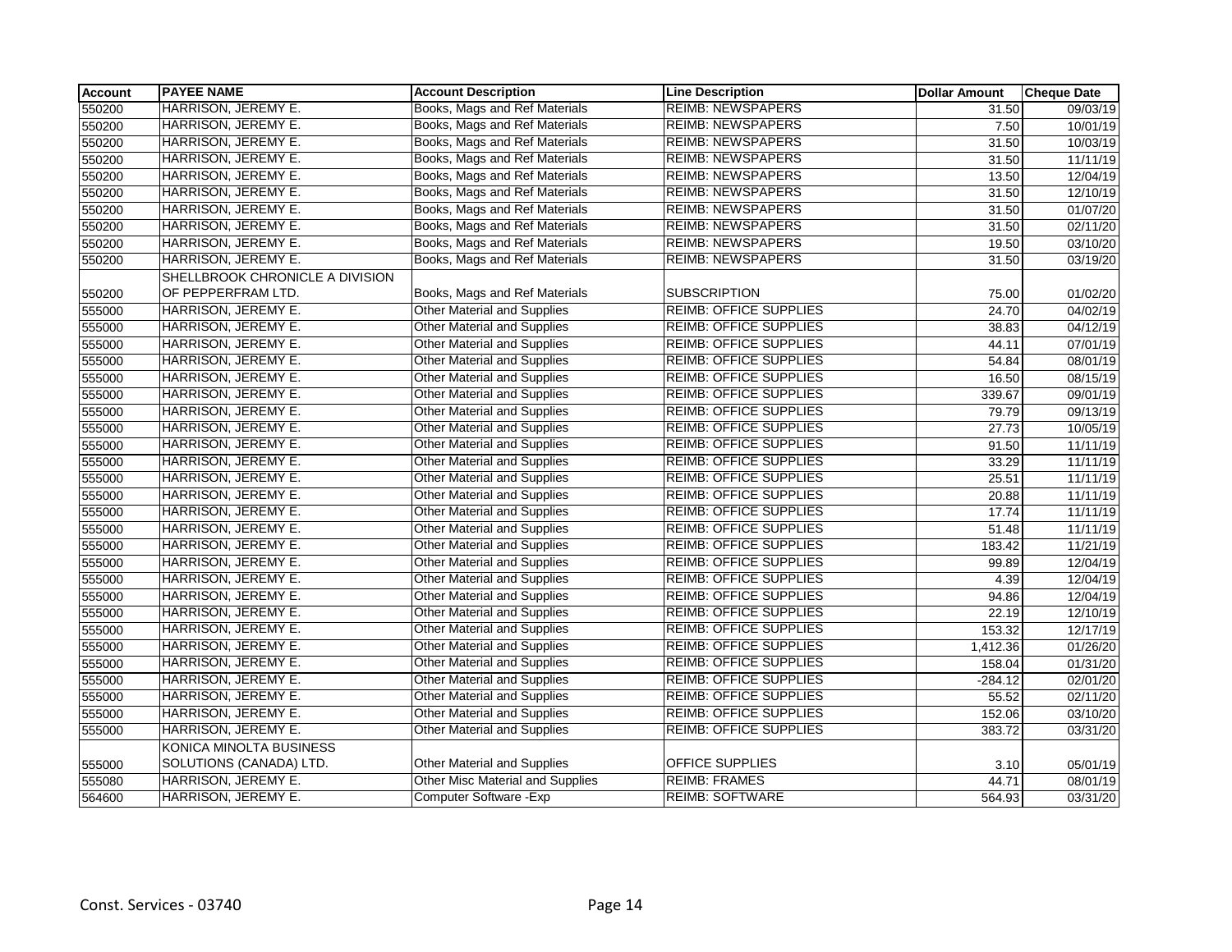| <b>Account</b> | <b>PAYEE NAME</b>               | <b>Account Description</b>              | <b>Line Description</b>       | <b>Dollar Amount</b> | <b>Cheque Date</b> |
|----------------|---------------------------------|-----------------------------------------|-------------------------------|----------------------|--------------------|
| 550200         | HARRISON, JEREMY E.             | Books, Mags and Ref Materials           | <b>REIMB: NEWSPAPERS</b>      | 31.50                | 09/03/19           |
| 550200         | HARRISON, JEREMY E.             | Books, Mags and Ref Materials           | <b>REIMB: NEWSPAPERS</b>      | 7.50                 | 10/01/19           |
| 550200         | HARRISON, JEREMY E.             | Books, Mags and Ref Materials           | <b>REIMB: NEWSPAPERS</b>      | 31.50                | 10/03/19           |
| 550200         | HARRISON, JEREMY E.             | Books, Mags and Ref Materials           | <b>REIMB: NEWSPAPERS</b>      | 31.50                | 11/11/19           |
| 550200         | HARRISON, JEREMY E.             | Books, Mags and Ref Materials           | <b>REIMB: NEWSPAPERS</b>      | 13.50                | 12/04/19           |
| 550200         | HARRISON, JEREMY E.             | Books, Mags and Ref Materials           | <b>REIMB: NEWSPAPERS</b>      | 31.50                | 12/10/19           |
| 550200         | HARRISON, JEREMY E.             | Books, Mags and Ref Materials           | <b>REIMB: NEWSPAPERS</b>      | 31.50                | 01/07/20           |
| 550200         | HARRISON, JEREMY E.             | Books, Mags and Ref Materials           | <b>REIMB: NEWSPAPERS</b>      | 31.50                | 02/11/20           |
| 550200         | HARRISON, JEREMY E.             | Books, Mags and Ref Materials           | <b>REIMB: NEWSPAPERS</b>      | 19.50                | 03/10/20           |
| 550200         | HARRISON, JEREMY E.             | Books, Mags and Ref Materials           | <b>REIMB: NEWSPAPERS</b>      | 31.50                | 03/19/20           |
|                | SHELLBROOK CHRONICLE A DIVISION |                                         |                               |                      |                    |
| 550200         | OF PEPPERFRAM LTD.              | Books, Mags and Ref Materials           | <b>SUBSCRIPTION</b>           | 75.00                | 01/02/20           |
| 555000         | HARRISON, JEREMY E.             | <b>Other Material and Supplies</b>      | <b>REIMB: OFFICE SUPPLIES</b> | 24.70                | 04/02/19           |
| 555000         | HARRISON, JEREMY E.             | <b>Other Material and Supplies</b>      | <b>REIMB: OFFICE SUPPLIES</b> | 38.83                | 04/12/19           |
| 555000         | HARRISON, JEREMY E.             | <b>Other Material and Supplies</b>      | <b>REIMB: OFFICE SUPPLIES</b> | 44.11                | 07/01/19           |
| 555000         | HARRISON, JEREMY E.             | <b>Other Material and Supplies</b>      | <b>REIMB: OFFICE SUPPLIES</b> | 54.84                | 08/01/19           |
| 555000         | HARRISON, JEREMY E.             | <b>Other Material and Supplies</b>      | <b>REIMB: OFFICE SUPPLIES</b> | 16.50                | 08/15/19           |
| 555000         | HARRISON, JEREMY E.             | <b>Other Material and Supplies</b>      | <b>REIMB: OFFICE SUPPLIES</b> | 339.67               | 09/01/19           |
| 555000         | HARRISON, JEREMY E.             | <b>Other Material and Supplies</b>      | <b>REIMB: OFFICE SUPPLIES</b> | 79.79                | 09/13/19           |
| 555000         | HARRISON, JEREMY E.             | <b>Other Material and Supplies</b>      | <b>REIMB: OFFICE SUPPLIES</b> | 27.73                | 10/05/19           |
| 555000         | HARRISON, JEREMY E.             | Other Material and Supplies             | <b>REIMB: OFFICE SUPPLIES</b> | 91.50                | 11/11/19           |
| 555000         | HARRISON, JEREMY E.             | <b>Other Material and Supplies</b>      | <b>REIMB: OFFICE SUPPLIES</b> | 33.29                | 11/11/19           |
| 555000         | HARRISON, JEREMY E.             | Other Material and Supplies             | <b>REIMB: OFFICE SUPPLIES</b> | 25.51                | 11/11/19           |
| 555000         | HARRISON, JEREMY E.             | <b>Other Material and Supplies</b>      | <b>REIMB: OFFICE SUPPLIES</b> | 20.88                | 11/11/19           |
| 555000         | HARRISON, JEREMY E.             | <b>Other Material and Supplies</b>      | <b>REIMB: OFFICE SUPPLIES</b> | 17.74                | 11/11/19           |
| 555000         | HARRISON, JEREMY E.             | <b>Other Material and Supplies</b>      | <b>REIMB: OFFICE SUPPLIES</b> | 51.48                | 11/11/19           |
| 555000         | HARRISON, JEREMY E.             | Other Material and Supplies             | REIMB: OFFICE SUPPLIES        | 183.42               | 11/21/19           |
| 555000         | HARRISON, JEREMY E.             | Other Material and Supplies             | REIMB: OFFICE SUPPLIES        | 99.89                | 12/04/19           |
| 555000         | HARRISON, JEREMY E.             | <b>Other Material and Supplies</b>      | <b>REIMB: OFFICE SUPPLIES</b> | 4.39                 | 12/04/19           |
| 555000         | HARRISON, JEREMY E.             | <b>Other Material and Supplies</b>      | <b>REIMB: OFFICE SUPPLIES</b> | 94.86                | 12/04/19           |
| 555000         | HARRISON, JEREMY E.             | <b>Other Material and Supplies</b>      | <b>REIMB: OFFICE SUPPLIES</b> | 22.19                | 12/10/19           |
| 555000         | HARRISON, JEREMY E.             | Other Material and Supplies             | <b>REIMB: OFFICE SUPPLIES</b> | 153.32               | 12/17/19           |
| 555000         | HARRISON, JEREMY E.             | <b>Other Material and Supplies</b>      | <b>REIMB: OFFICE SUPPLIES</b> | 1,412.36             | 01/26/20           |
| 555000         | HARRISON, JEREMY E.             | Other Material and Supplies             | <b>REIMB: OFFICE SUPPLIES</b> | 158.04               | 01/31/20           |
| 555000         | HARRISON, JEREMY E.             | <b>Other Material and Supplies</b>      | <b>REIMB: OFFICE SUPPLIES</b> | $-284.12$            | 02/01/20           |
| 555000         | HARRISON, JEREMY E.             | <b>Other Material and Supplies</b>      | <b>REIMB: OFFICE SUPPLIES</b> | 55.52                | 02/11/20           |
| 555000         | HARRISON, JEREMY E.             | <b>Other Material and Supplies</b>      | <b>REIMB: OFFICE SUPPLIES</b> | 152.06               | 03/10/20           |
| 555000         | HARRISON, JEREMY E.             | <b>Other Material and Supplies</b>      | <b>REIMB: OFFICE SUPPLIES</b> | 383.72               | 03/31/20           |
|                | KONICA MINOLTA BUSINESS         |                                         |                               |                      |                    |
| 555000         | SOLUTIONS (CANADA) LTD.         | Other Material and Supplies             | OFFICE SUPPLIES               | 3.10                 | 05/01/19           |
| 555080         | <b>HARRISON, JEREMY E.</b>      | <b>Other Misc Material and Supplies</b> | <b>REIMB: FRAMES</b>          | 44.71                | 08/01/19           |
| 564600         | HARRISON, JEREMY E.             | Computer Software - Exp                 | <b>REIMB: SOFTWARE</b>        | 564.93               | 03/31/20           |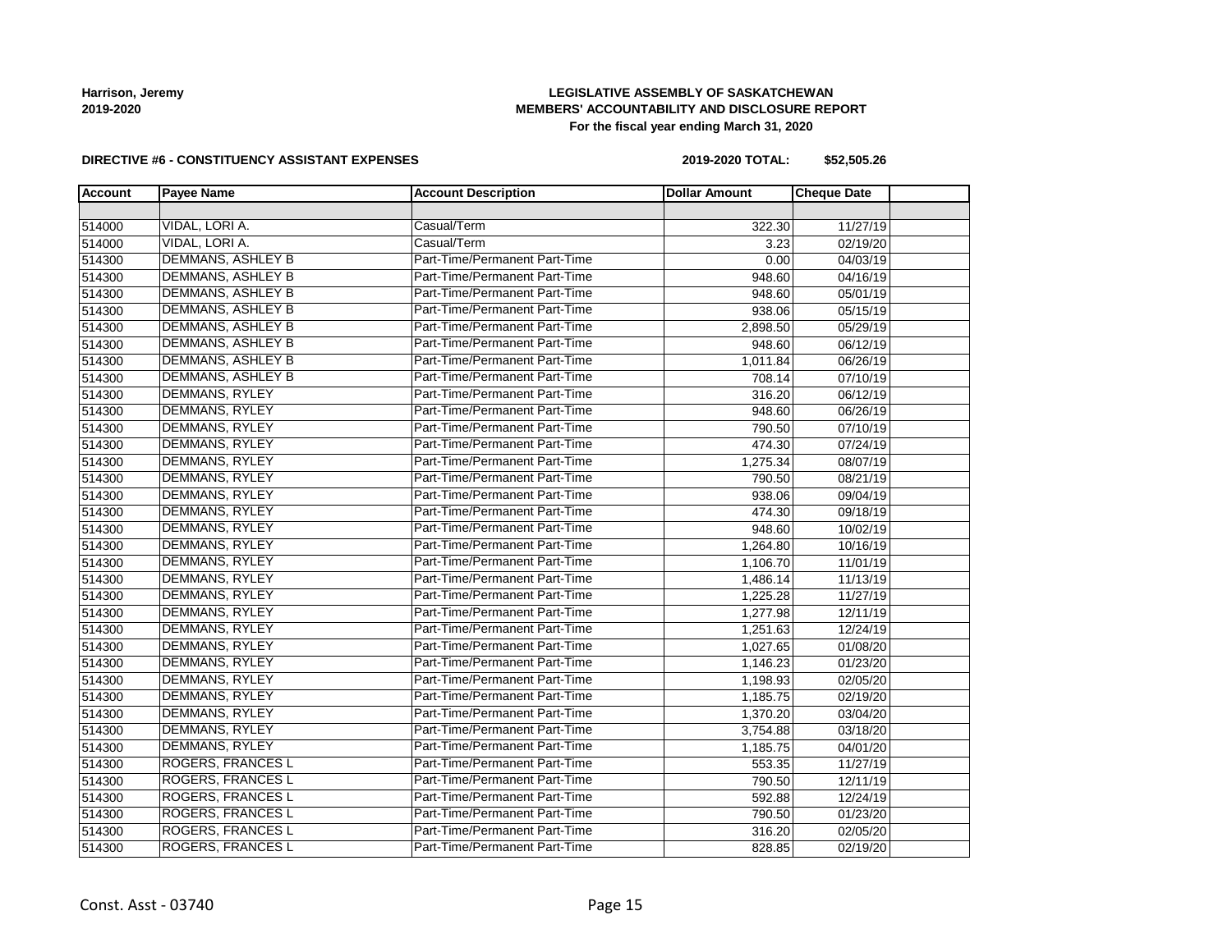### **LEGISLATIVE ASSEMBLY OF SASKATCHEWAN MEMBERS' ACCOUNTABILITY AND DISCLOSURE REPORT For the fiscal year ending March 31, 2020**

#### **DIRECTIVE #6 - CONSTITUENCY ASSISTANT EXPENSES**

**2019-2020 TOTAL: \$52,505.26**

| <b>Account</b> | <b>Payee Name</b>        | <b>Account Description</b>    | <b>Dollar Amount</b> | <b>Cheque Date</b> |
|----------------|--------------------------|-------------------------------|----------------------|--------------------|
|                |                          |                               |                      |                    |
| 514000         | VIDAL, LORI A.           | Casual/Term                   | 322.30               | 11/27/19           |
| 514000         | VIDAL, LORI A.           | Casual/Term                   | 3.23                 | 02/19/20           |
| 514300         | <b>DEMMANS, ASHLEY B</b> | Part-Time/Permanent Part-Time | 0.00                 | 04/03/19           |
| 514300         | <b>DEMMANS, ASHLEY B</b> | Part-Time/Permanent Part-Time | 948.60               | 04/16/19           |
| 514300         | <b>DEMMANS, ASHLEY B</b> | Part-Time/Permanent Part-Time | 948.60               | 05/01/19           |
| 514300         | <b>DEMMANS, ASHLEY B</b> | Part-Time/Permanent Part-Time | 938.06               | 05/15/19           |
| 514300         | <b>DEMMANS, ASHLEY B</b> | Part-Time/Permanent Part-Time | 2,898.50             | 05/29/19           |
| 514300         | <b>DEMMANS, ASHLEY B</b> | Part-Time/Permanent Part-Time | 948.60               | 06/12/19           |
| 514300         | <b>DEMMANS, ASHLEY B</b> | Part-Time/Permanent Part-Time | 1,011.84             | 06/26/19           |
| 514300         | <b>DEMMANS, ASHLEY B</b> | Part-Time/Permanent Part-Time | 708.14               | 07/10/19           |
| 514300         | <b>DEMMANS, RYLEY</b>    | Part-Time/Permanent Part-Time | 316.20               | 06/12/19           |
| 514300         | <b>DEMMANS, RYLEY</b>    | Part-Time/Permanent Part-Time | 948.60               | 06/26/19           |
| 514300         | <b>DEMMANS, RYLEY</b>    | Part-Time/Permanent Part-Time | 790.50               | 07/10/19           |
| 514300         | <b>DEMMANS, RYLEY</b>    | Part-Time/Permanent Part-Time | 474.30               | 07/24/19           |
| 514300         | <b>DEMMANS, RYLEY</b>    | Part-Time/Permanent Part-Time | 1,275.34             | 08/07/19           |
| 514300         | <b>DEMMANS, RYLEY</b>    | Part-Time/Permanent Part-Time | 790.50               | 08/21/19           |
| 514300         | <b>DEMMANS, RYLEY</b>    | Part-Time/Permanent Part-Time | 938.06               | 09/04/19           |
| 514300         | <b>DEMMANS, RYLEY</b>    | Part-Time/Permanent Part-Time | 474.30               | 09/18/19           |
| 514300         | <b>DEMMANS, RYLEY</b>    | Part-Time/Permanent Part-Time | 948.60               | 10/02/19           |
| 514300         | <b>DEMMANS, RYLEY</b>    | Part-Time/Permanent Part-Time | 1,264.80             | 10/16/19           |
| 514300         | <b>DEMMANS, RYLEY</b>    | Part-Time/Permanent Part-Time | 1,106.70             | 11/01/19           |
| 514300         | <b>DEMMANS, RYLEY</b>    | Part-Time/Permanent Part-Time | 1,486.14             | 11/13/19           |
| 514300         | <b>DEMMANS, RYLEY</b>    | Part-Time/Permanent Part-Time | 1,225.28             | 11/27/19           |
| 514300         | DEMMANS, RYLEY           | Part-Time/Permanent Part-Time | 1,277.98             | 12/11/19           |
| 514300         | <b>DEMMANS, RYLEY</b>    | Part-Time/Permanent Part-Time | 1,251.63             | 12/24/19           |
| 514300         | <b>DEMMANS, RYLEY</b>    | Part-Time/Permanent Part-Time | 1,027.65             | 01/08/20           |
| 514300         | <b>DEMMANS, RYLEY</b>    | Part-Time/Permanent Part-Time | 1,146.23             | 01/23/20           |
| 514300         | <b>DEMMANS, RYLEY</b>    | Part-Time/Permanent Part-Time | 1,198.93             | 02/05/20           |
| 514300         | <b>DEMMANS, RYLEY</b>    | Part-Time/Permanent Part-Time | 1,185.75             | 02/19/20           |
| 514300         | <b>DEMMANS, RYLEY</b>    | Part-Time/Permanent Part-Time | 1,370.20             | 03/04/20           |
| 514300         | <b>DEMMANS, RYLEY</b>    | Part-Time/Permanent Part-Time | 3,754.88             | 03/18/20           |
| 514300         | <b>DEMMANS, RYLEY</b>    | Part-Time/Permanent Part-Time | 1,185.75             | 04/01/20           |
| 514300         | <b>ROGERS, FRANCES L</b> | Part-Time/Permanent Part-Time | 553.35               | 11/27/19           |
| 514300         | <b>ROGERS, FRANCES L</b> | Part-Time/Permanent Part-Time | 790.50               | 12/11/19           |
| 514300         | <b>ROGERS, FRANCES L</b> | Part-Time/Permanent Part-Time | 592.88               | 12/24/19           |
| 514300         | <b>ROGERS, FRANCES L</b> | Part-Time/Permanent Part-Time | 790.50               | 01/23/20           |
| 514300         | <b>ROGERS, FRANCES L</b> | Part-Time/Permanent Part-Time | 316.20               | 02/05/20           |
| 514300         | <b>ROGERS, FRANCES L</b> | Part-Time/Permanent Part-Time | 828.85               | 02/19/20           |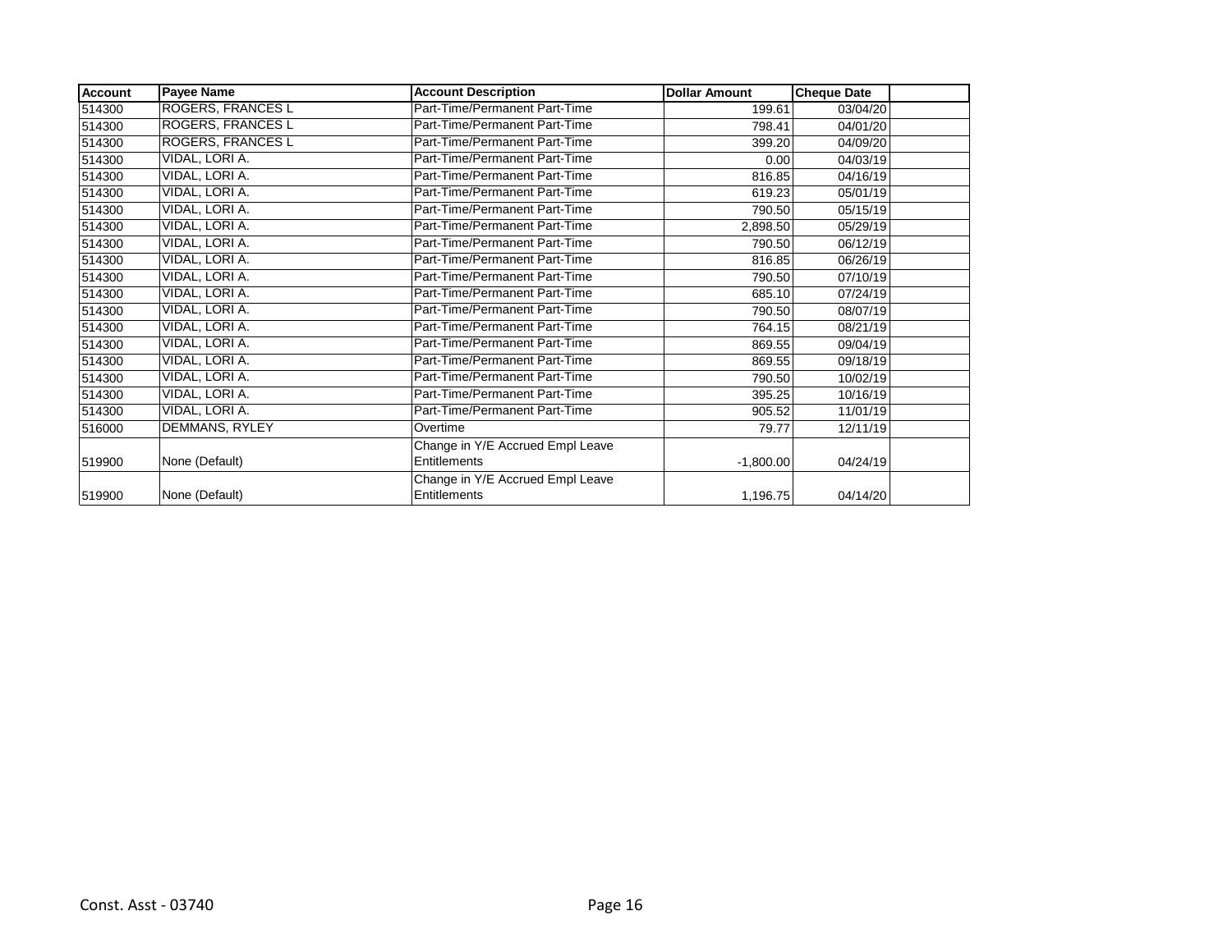| <b>Account</b> | <b>Payee Name</b>        | <b>Account Description</b>       | <b>Dollar Amount</b> | <b>Cheque Date</b> |  |
|----------------|--------------------------|----------------------------------|----------------------|--------------------|--|
| 514300         | <b>ROGERS, FRANCES L</b> | Part-Time/Permanent Part-Time    | 199.61               | 03/04/20           |  |
| 514300         | <b>ROGERS, FRANCES L</b> | Part-Time/Permanent Part-Time    | 798.41               | 04/01/20           |  |
| 514300         | ROGERS, FRANCES L        | Part-Time/Permanent Part-Time    | 399.20               | 04/09/20           |  |
| 514300         | VIDAL, LORI A.           | Part-Time/Permanent Part-Time    | 0.00                 | 04/03/19           |  |
| 514300         | VIDAL, LORI A.           | Part-Time/Permanent Part-Time    | 816.85               | 04/16/19           |  |
| 514300         | VIDAL, LORI A.           | Part-Time/Permanent Part-Time    | 619.23               | 05/01/19           |  |
| 514300         | VIDAL, LORI A.           | Part-Time/Permanent Part-Time    | 790.50               | 05/15/19           |  |
| 514300         | VIDAL, LORI A.           | Part-Time/Permanent Part-Time    | 2,898.50             | 05/29/19           |  |
| 514300         | VIDAL, LORI A.           | Part-Time/Permanent Part-Time    | 790.50               | 06/12/19           |  |
| 514300         | VIDAL, LORI A.           | Part-Time/Permanent Part-Time    | 816.85               | 06/26/19           |  |
| 514300         | VIDAL, LORI A.           | Part-Time/Permanent Part-Time    | 790.50               | 07/10/19           |  |
| 514300         | VIDAL, LORI A.           | Part-Time/Permanent Part-Time    | 685.10               | 07/24/19           |  |
| 514300         | VIDAL, LORI A.           | Part-Time/Permanent Part-Time    | 790.50               | 08/07/19           |  |
| 514300         | VIDAL, LORI A.           | Part-Time/Permanent Part-Time    | 764.15               | 08/21/19           |  |
| 514300         | VIDAL, LORI A.           | Part-Time/Permanent Part-Time    | 869.55               | 09/04/19           |  |
| 514300         | VIDAL, LORI A.           | Part-Time/Permanent Part-Time    | 869.55               | 09/18/19           |  |
| 514300         | VIDAL, LORI A.           | Part-Time/Permanent Part-Time    | 790.50               | 10/02/19           |  |
| 514300         | VIDAL, LORI A.           | Part-Time/Permanent Part-Time    | 395.25               | 10/16/19           |  |
| 514300         | VIDAL, LORI A.           | Part-Time/Permanent Part-Time    | 905.52               | 11/01/19           |  |
| 516000         | DEMMANS, RYLEY           | Overtime                         | 79.77                | 12/11/19           |  |
|                |                          | Change in Y/E Accrued Empl Leave |                      |                    |  |
| 519900         | None (Default)           | Entitlements                     | $-1,800.00$          | 04/24/19           |  |
|                |                          | Change in Y/E Accrued Empl Leave |                      |                    |  |
| 519900         | None (Default)           | Entitlements                     | 1,196.75             | 04/14/20           |  |